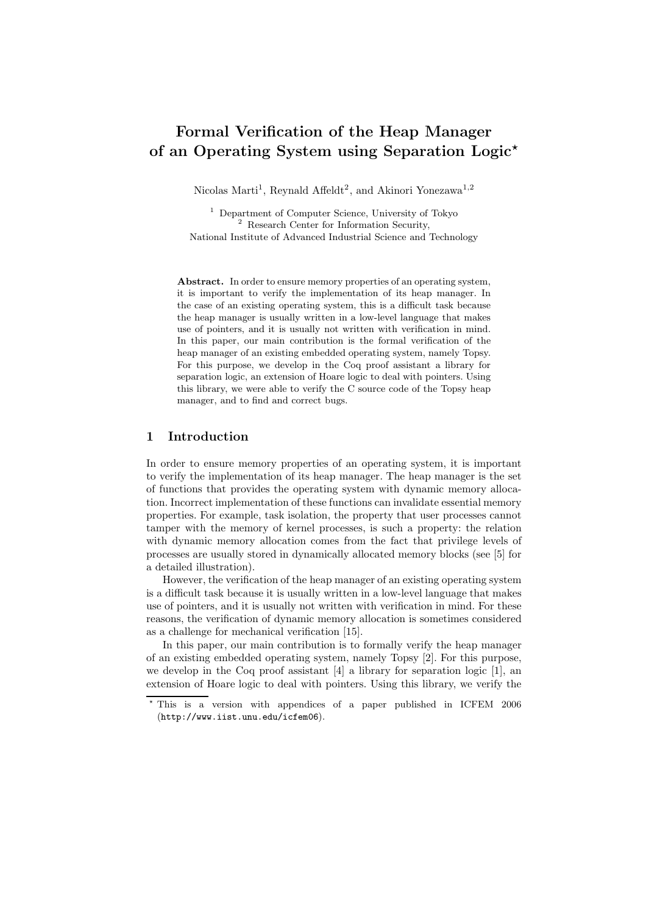# Formal Verification of the Heap Manager of an Operating System using Separation Logic?

Nicolas Marti<sup>1</sup>, Reynald Affeldt<sup>2</sup>, and Akinori Yonezawa<sup>1,2</sup>

<sup>1</sup> Department of Computer Science, University of Tokyo <sup>2</sup> Research Center for Information Security, National Institute of Advanced Industrial Science and Technology

Abstract. In order to ensure memory properties of an operating system, it is important to verify the implementation of its heap manager. In the case of an existing operating system, this is a difficult task because the heap manager is usually written in a low-level language that makes use of pointers, and it is usually not written with verification in mind. In this paper, our main contribution is the formal verification of the heap manager of an existing embedded operating system, namely Topsy. For this purpose, we develop in the Coq proof assistant a library for separation logic, an extension of Hoare logic to deal with pointers. Using this library, we were able to verify the C source code of the Topsy heap manager, and to find and correct bugs.

# 1 Introduction

In order to ensure memory properties of an operating system, it is important to verify the implementation of its heap manager. The heap manager is the set of functions that provides the operating system with dynamic memory allocation. Incorrect implementation of these functions can invalidate essential memory properties. For example, task isolation, the property that user processes cannot tamper with the memory of kernel processes, is such a property: the relation with dynamic memory allocation comes from the fact that privilege levels of processes are usually stored in dynamically allocated memory blocks (see [5] for a detailed illustration).

However, the verification of the heap manager of an existing operating system is a difficult task because it is usually written in a low-level language that makes use of pointers, and it is usually not written with verification in mind. For these reasons, the verification of dynamic memory allocation is sometimes considered as a challenge for mechanical verification [15].

In this paper, our main contribution is to formally verify the heap manager of an existing embedded operating system, namely Topsy [2]. For this purpose, we develop in the Coq proof assistant [4] a library for separation logic [1], an extension of Hoare logic to deal with pointers. Using this library, we verify the

<sup>?</sup> This is a version with appendices of a paper published in ICFEM 2006 (http://www.iist.unu.edu/icfem06).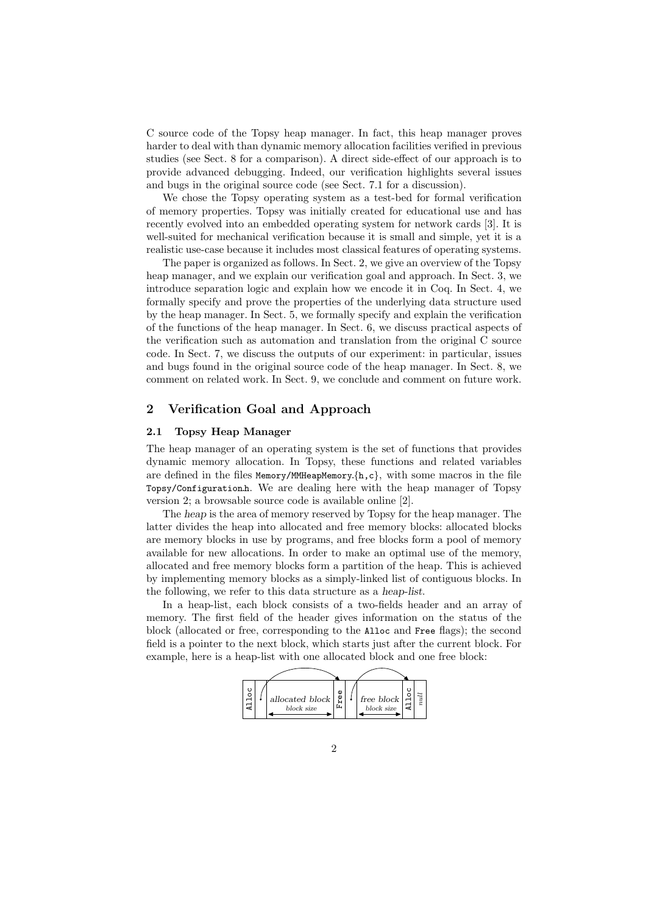C source code of the Topsy heap manager. In fact, this heap manager proves harder to deal with than dynamic memory allocation facilities verified in previous studies (see Sect. 8 for a comparison). A direct side-effect of our approach is to provide advanced debugging. Indeed, our verification highlights several issues and bugs in the original source code (see Sect. 7.1 for a discussion).

We chose the Topsy operating system as a test-bed for formal verification of memory properties. Topsy was initially created for educational use and has recently evolved into an embedded operating system for network cards [3]. It is well-suited for mechanical verification because it is small and simple, yet it is a realistic use-case because it includes most classical features of operating systems.

The paper is organized as follows. In Sect. 2, we give an overview of the Topsy heap manager, and we explain our verification goal and approach. In Sect. 3, we introduce separation logic and explain how we encode it in Coq. In Sect. 4, we formally specify and prove the properties of the underlying data structure used by the heap manager. In Sect. 5, we formally specify and explain the verification of the functions of the heap manager. In Sect. 6, we discuss practical aspects of the verification such as automation and translation from the original C source code. In Sect. 7, we discuss the outputs of our experiment: in particular, issues and bugs found in the original source code of the heap manager. In Sect. 8, we comment on related work. In Sect. 9, we conclude and comment on future work.

# 2 Verification Goal and Approach

#### 2.1 Topsy Heap Manager

The heap manager of an operating system is the set of functions that provides dynamic memory allocation. In Topsy, these functions and related variables are defined in the files Memory/MMHeapMemory. $\{h, c\}$ , with some macros in the file Topsy/Configuration.h. We are dealing here with the heap manager of Topsy version 2; a browsable source code is available online [2].

The heap is the area of memory reserved by Topsy for the heap manager. The latter divides the heap into allocated and free memory blocks: allocated blocks are memory blocks in use by programs, and free blocks form a pool of memory available for new allocations. In order to make an optimal use of the memory, allocated and free memory blocks form a partition of the heap. This is achieved by implementing memory blocks as a simply-linked list of contiguous blocks. In the following, we refer to this data structure as a heap-list.

In a heap-list, each block consists of a two-fields header and an array of memory. The first field of the header gives information on the status of the block (allocated or free, corresponding to the Alloc and Free flags); the second field is a pointer to the next block, which starts just after the current block. For example, here is a heap-list with one allocated block and one free block:

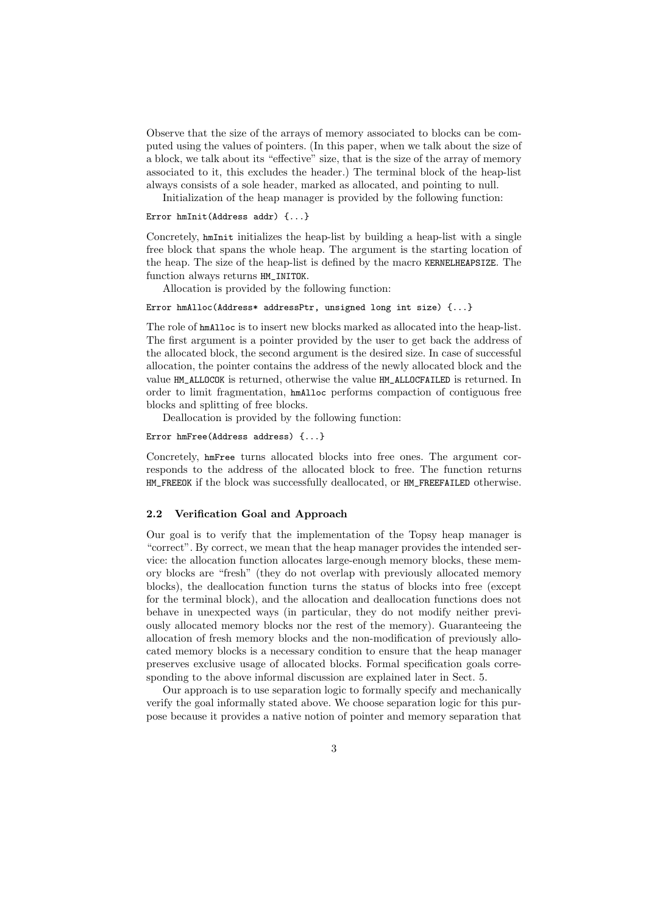Observe that the size of the arrays of memory associated to blocks can be computed using the values of pointers. (In this paper, when we talk about the size of a block, we talk about its "effective" size, that is the size of the array of memory associated to it, this excludes the header.) The terminal block of the heap-list always consists of a sole header, marked as allocated, and pointing to null.

Initialization of the heap manager is provided by the following function:

#### Error hmInit(Address addr) {...}

Concretely, hmInit initializes the heap-list by building a heap-list with a single free block that spans the whole heap. The argument is the starting location of the heap. The size of the heap-list is defined by the macro KERNELHEAPSIZE. The function always returns HM\_INITOK.

Allocation is provided by the following function:

#### Error hmAlloc(Address\* addressPtr, unsigned long int size)  $\{ \ldots \}$

The role of hmAlloc is to insert new blocks marked as allocated into the heap-list. The first argument is a pointer provided by the user to get back the address of the allocated block, the second argument is the desired size. In case of successful allocation, the pointer contains the address of the newly allocated block and the value HM\_ALLOCOK is returned, otherwise the value HM\_ALLOCFAILED is returned. In order to limit fragmentation, hmAlloc performs compaction of contiguous free blocks and splitting of free blocks.

Deallocation is provided by the following function:

## Error hmFree(Address address) {...}

Concretely, hmFree turns allocated blocks into free ones. The argument corresponds to the address of the allocated block to free. The function returns HM\_FREEOK if the block was successfully deallocated, or HM\_FREEFAILED otherwise.

#### 2.2 Verification Goal and Approach

Our goal is to verify that the implementation of the Topsy heap manager is "correct". By correct, we mean that the heap manager provides the intended service: the allocation function allocates large-enough memory blocks, these memory blocks are "fresh" (they do not overlap with previously allocated memory blocks), the deallocation function turns the status of blocks into free (except for the terminal block), and the allocation and deallocation functions does not behave in unexpected ways (in particular, they do not modify neither previously allocated memory blocks nor the rest of the memory). Guaranteeing the allocation of fresh memory blocks and the non-modification of previously allocated memory blocks is a necessary condition to ensure that the heap manager preserves exclusive usage of allocated blocks. Formal specification goals corresponding to the above informal discussion are explained later in Sect. 5.

Our approach is to use separation logic to formally specify and mechanically verify the goal informally stated above. We choose separation logic for this purpose because it provides a native notion of pointer and memory separation that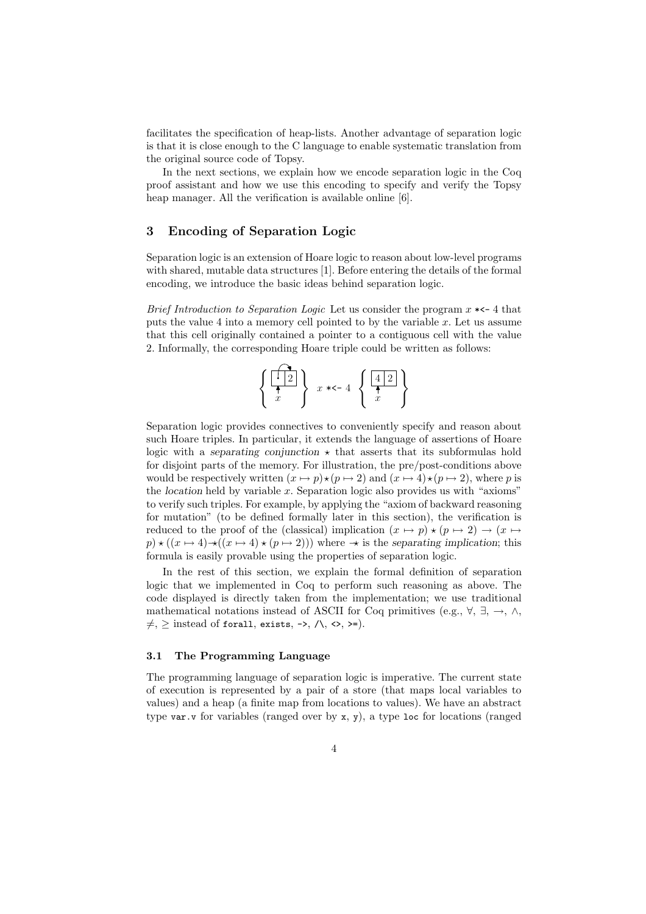facilitates the specification of heap-lists. Another advantage of separation logic is that it is close enough to the C language to enable systematic translation from the original source code of Topsy.

In the next sections, we explain how we encode separation logic in the Coq proof assistant and how we use this encoding to specify and verify the Topsy heap manager. All the verification is available online [6].

## 3 Encoding of Separation Logic

Separation logic is an extension of Hoare logic to reason about low-level programs with shared, mutable data structures [1]. Before entering the details of the formal encoding, we introduce the basic ideas behind separation logic.

Brief Introduction to Separation Logic Let us consider the program  $x \star \leftarrow 4$  that puts the value 4 into a memory cell pointed to by the variable  $x$ . Let us assume that this cell originally contained a pointer to a contiguous cell with the value 2. Informally, the corresponding Hoare triple could be written as follows:

$$
\left\{\begin{array}{c}\begin{bmatrix} 1\\1\\x\end{bmatrix} \\ x \end{array}\right\} \quad x \ast \leftarrow 4 \quad \left\{\begin{array}{c}\begin{bmatrix} 4 & 2\\1 & x \end{bmatrix} \\ x \end{array}\right\}
$$

Separation logic provides connectives to conveniently specify and reason about such Hoare triples. In particular, it extends the language of assertions of Hoare logic with a separating conjunction  $\star$  that asserts that its subformulas hold for disjoint parts of the memory. For illustration, the pre/post-conditions above would be respectively written  $(x \mapsto p) \star (p \mapsto 2)$  and  $(x \mapsto 4) \star (p \mapsto 2)$ , where p is the *location* held by variable  $x$ . Separation logic also provides us with "axioms" to verify such triples. For example, by applying the "axiom of backward reasoning for mutation" (to be defined formally later in this section), the verification is reduced to the proof of the (classical) implication  $(x \mapsto p) \star (p \mapsto 2) \to (x \mapsto$  $p) \star ((x \mapsto 4) \star ((x \mapsto 4) \star (p \mapsto 2)))$  where  $\star$  is the separating implication; this formula is easily provable using the properties of separation logic.

In the rest of this section, we explain the formal definition of separation logic that we implemented in Coq to perform such reasoning as above. The code displayed is directly taken from the implementation; we use traditional mathematical notations instead of ASCII for Coq primitives (e.g.,  $\forall$ ,  $\exists$ ,  $\rightarrow$ ,  $\land$ ,  $\neq$ ,  $\geq$  instead of forall, exists, ->,  $\land$ , <>, >=).

#### 3.1 The Programming Language

The programming language of separation logic is imperative. The current state of execution is represented by a pair of a store (that maps local variables to values) and a heap (a finite map from locations to values). We have an abstract type var.v for variables (ranged over by x, y), a type loc for locations (ranged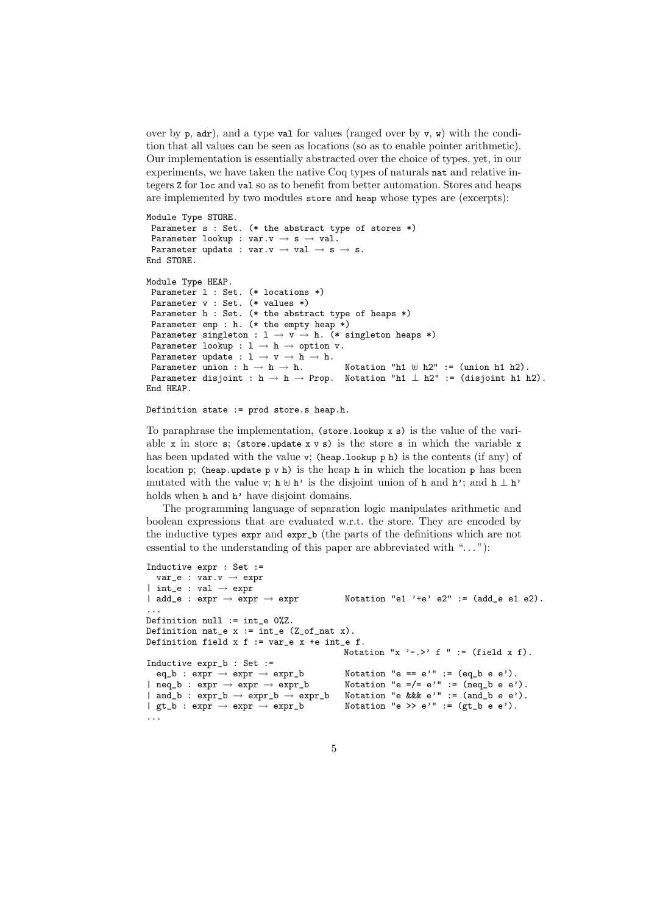over by p,  $adr$ ), and a type val for values (ranged over by v, w) with the condition that all values can be seen as locations (so as to enable pointer arithmetic). Our implementation is essentially abstracted over the choice of types, yet, in our experiments, we have taken the native Coq types of naturals nat and relative integers Z for loc and val so as to benefit from better automation. Stores and heaps are implemented by two modules store and heap whose types are (excerpts):

```
Module Type STORE.
Parameter s : Set. (* the abstract type of stores *)
 Parameter lookup : var.v \rightarrow s \rightarrow val.Parameter update : var.v \rightarrow val \rightarrow s \rightarrow s.
End STORE.
Module Type HEAP.
Parameter l : Set. (* locations *)
Parameter v : Set. (* values *)
 Parameter h : Set. (* the abstract type of heaps *)
 Parameter emp : h. (* the empty heap *)
 Parameter singleton : 1 \rightarrow v \rightarrow h. (* singleton heaps *)
 Parameter lookup : 1 \rightarrow h \rightarrow option v.
 Parameter update : 1 \rightarrow v \rightarrow h \rightarrow h.
 Parameter union : h \to h \to h. Notation "h1 \# h2" := (union h1 h2).
Parameter disjoint : h → h → Prop. Notation "h1 \perp h2" := (disjoint h1 h2).
End HEAP.
```

```
Definition state := prod store.s heap.h.
```
To paraphrase the implementation, (store.lookup x s) is the value of the variable x in store s; (store.update  $x \vee s$ ) is the store s in which the variable x has been updated with the value v; (heap.lookup p h) is the contents (if any) of location p; (heap.update  $p \nu h$ ) is the heap h in which the location p has been mutated with the value v;  $h \oplus h'$  is the disjoint union of h and h'; and  $h \perp h'$ holds when h and h' have disjoint domains.

The programming language of separation logic manipulates arithmetic and boolean expressions that are evaluated w.r.t. the store. They are encoded by the inductive types expr and expr\_b (the parts of the definitions which are not essential to the understanding of this paper are abbreviated with "..."):

```
Inductive expr : Set :=
  var_e : var.v \rightarrow expr| int_e : val \rightarrow expr
| add_e : expr \rightarrow expr \rightarrow expr Notation "e1 '+e' e2" := (add_e e1 e2).
...
Definition null := int_e 0%Z.
Definition nat_e x := int_e (Z_of_nat x).
Definition field x f := var_e x + e int_e f.
                                                   Notation "x '-.>' f " := (field x f).
Inductive expr_b : Set :=
  eq_b : \exp \rightarrow expr \rightarrow expr_b Notation "e == e'" := (eq_b e e').
| neq_b : expr \rightarrow expr \rightarrow expr_b Notation "e =/= e'" := (neq_b e e').<br>| and_b : expr_b \rightarrow expr_b \rightarrow expr_b Notation "e &&& e'" := (and_b e e').
| and_b : expr_b \rightarrow expr_b \rightarrow expr_b| gt_b : expr \rightarrow expr \rightarrow expr_b Notation "e >> e'" := (gt_b e e').
...
```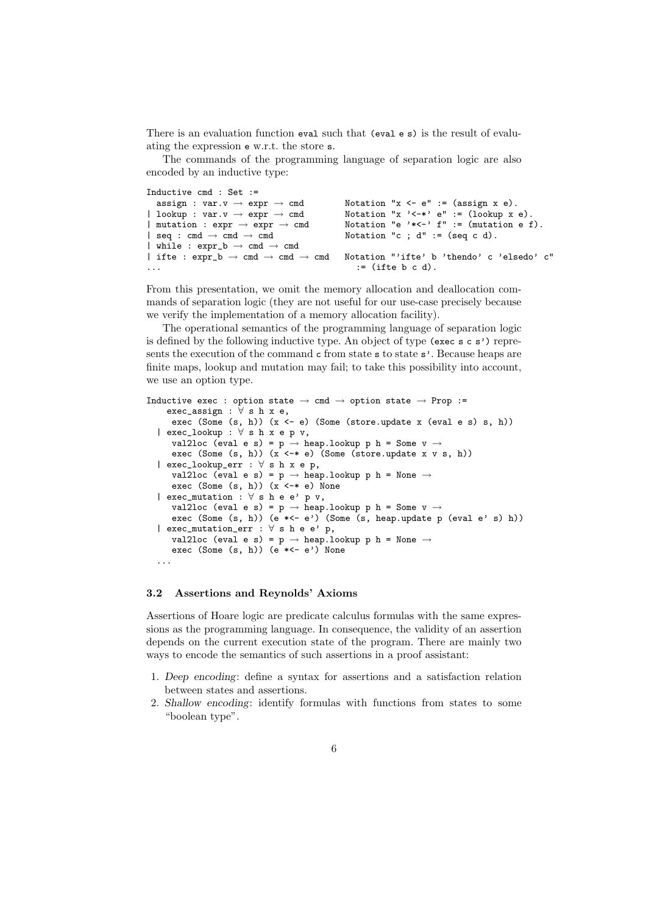There is an evaluation function eval such that (eval e s) is the result of evaluating the expression e w.r.t. the store s.

The commands of the programming language of separation logic are also encoded by an inductive type:

```
Inductive cmd : Set :=
  assign : var.v \rightarrow expr \rightarrow cmd Notation "x <- e" := (assign x e).
| lookup : var.v \rightarrow expr \rightarrow cmd Notation "x '<-*' e" := (lookup x e).
| mutation : expr \rightarrow expr \rightarrow cmd Notation "e '*<-' f" := (mutation e f).
| seq : cmd \rightarrow cmd \rightarrow cmd \rightarrow Cmd Notation "c ; d" := (seq c d).
\begin{array}{cccc} \mid&{\tt while}&\vdots&{\tt expr\_b}&\to&{\tt cmd}&\to&{\tt cmd}\end{array}| ifte : expr_b \rightarrow cmd \rightarrow cmd → cm Notation "'ifte' b 'thendo' c 'elsedo' c"
                                                      := (ifte b c d).
```
From this presentation, we omit the memory allocation and deallocation commands of separation logic (they are not useful for our use-case precisely because we verify the implementation of a memory allocation facility).

The operational semantics of the programming language of separation logic is defined by the following inductive type. An object of type (exec  $s \circ s'$ ) represents the execution of the command c from state s to state s'. Because heaps are finite maps, lookup and mutation may fail; to take this possibility into account, we use an option type.

```
Inductive exec : option state \rightarrow cmd \rightarrow option state \rightarrow Prop :=
    exec_assign : \overline{V} s h x e,
     exec (Some (s, h)) (x <- e) (Some (store.update x (eval e s) s, h))
  | exec_lookup : ∀ s h x e p v,
     val2loc (eval e s) = p \rightarrow heap.lookup p h = Some v \rightarrowexec (Some (s, h)) (x \leq * e) (Some (store.update x v s, h))
  | exec_lookup_err : ∀ s h x e p,
     val2loc (eval e s) = p \rightarrow heap.lookup p h = None \rightarrowexec (Some (s, h)) (x \leftarrow * e) None
  | exec_mutation : ∀ s h e e' p v,
     val2loc (eval e s) = p \rightarrow heap.lookup p h = Some v \rightarrowexec (Some (s, h)) (e^* \leq -e^s) (Some (s, h) heap.update p (eval e' s) h))
  | exec_mutation_err : ∀ s h e e' p,
     val2loc (eval e s) = p \rightarrow heap.lookup p h = None \rightarrowexec (Some (s, h)) (e *<- e') None
  ...
```
#### 3.2 Assertions and Reynolds' Axioms

Assertions of Hoare logic are predicate calculus formulas with the same expressions as the programming language. In consequence, the validity of an assertion depends on the current execution state of the program. There are mainly two ways to encode the semantics of such assertions in a proof assistant:

- 1. Deep encoding: define a syntax for assertions and a satisfaction relation between states and assertions.
- 2. Shallow encoding: identify formulas with functions from states to some "boolean type".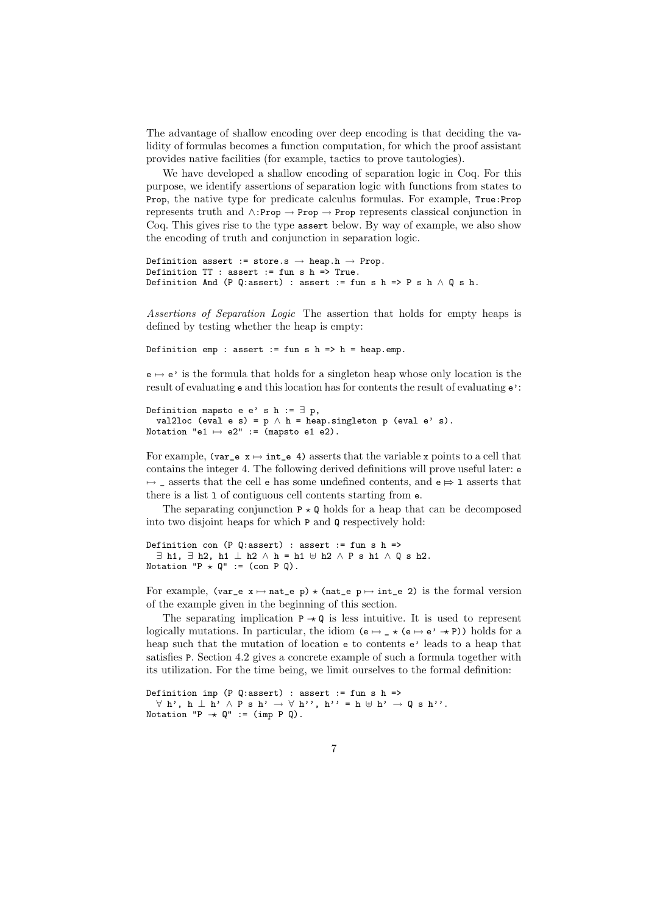The advantage of shallow encoding over deep encoding is that deciding the validity of formulas becomes a function computation, for which the proof assistant provides native facilities (for example, tactics to prove tautologies).

We have developed a shallow encoding of separation logic in Coq. For this purpose, we identify assertions of separation logic with functions from states to Prop, the native type for predicate calculus formulas. For example, True:Prop represents truth and  $\land:$ Prop  $\rightarrow$  Prop  $\rightarrow$ Prop represents classical conjunction in Coq. This gives rise to the type assert below. By way of example, we also show the encoding of truth and conjunction in separation logic.

```
Definition assert := store.s \rightarrow heap.h \rightarrow Prop.
Definition TT : assert := fun s h => True.
Definition And (P Q:assert) : assert := fun s h => P s h \land Q s h.
```
Assertions of Separation Logic The assertion that holds for empty heaps is defined by testing whether the heap is empty:

Definition emp : assert := fun s  $h \Rightarrow h =$  heap.emp.

 $e \mapsto e'$  is the formula that holds for a singleton heap whose only location is the result of evaluating e and this location has for contents the result of evaluating e':

```
Definition mapsto e e' s h := \exists p,
 val2loc (eval e s) = p \wedge h = heap.singleton p (eval e' s).
Notation "e1 \mapsto e2" := (mapsto e1 e2).
```
For example, (var\_e  $x \mapsto int_e 4$ ) asserts that the variable x points to a cell that contains the integer 4. The following derived definitions will prove useful later: e  $\mapsto$  \_ asserts that the cell **e** has some undefined contents, and **e**  $\Rightarrow$  1 asserts that there is a list l of contiguous cell contents starting from e.

The separating conjunction  $P \star Q$  holds for a heap that can be decomposed into two disjoint heaps for which P and Q respectively hold:

```
Definition con (P \ Q: assert) : assert := fun s h =>
  \exists h1, \exists h2, h1 \bot h2 \land h = h1 \oplus h2 \land P s h1 \land Q s h2.
Notation "P \times Q'' := (con P Q).
```
For example,  $\text{(var_e x} \mapsto \text{nat}_e \text{ p}) \star (\text{nat}_e \text{ p} \mapsto \text{int}_e \text{ p})$  is the formal version of the example given in the beginning of this section.

The separating implication  $P \rightarrow Q$  is less intuitive. It is used to represent logically mutations. In particular, the idiom ( $e \mapsto e \star (e \mapsto e' \star P)$ ) holds for a heap such that the mutation of location  $\epsilon$  to contents  $\epsilon'$  leads to a heap that satisfies P. Section 4.2 gives a concrete example of such a formula together with its utilization. For the time being, we limit ourselves to the formal definition:

Definition imp  $(P \ Q$ : assert) : assert := fun s h =>  $\forall h', h \perp h' \wedge P s h' \rightarrow \forall h''', h'' = h \uplus h' \rightarrow Q s h'''.$ Notation " $P \rightarrow Q''$  := (imp P Q).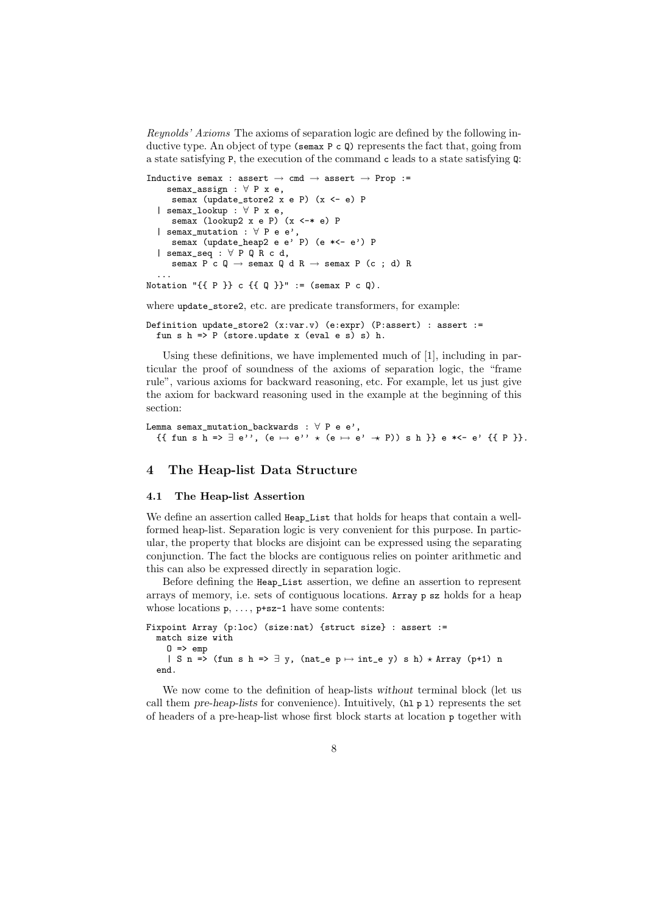Reynolds' Axioms The axioms of separation logic are defined by the following inductive type. An object of type (semax  $P \subset Q$ ) represents the fact that, going from a state satisfying P, the execution of the command c leads to a state satisfying Q:

```
Inductive semax : assert \rightarrow cmd \rightarrow assert \rightarrow Prop :=
    semax_assign : \forall P \times e,
     semax (update_store2 x e P) (x <- e) P
  | semax_lookup : ∀ P x e,
     semax (lookup2 x e P) (x <-* e) P
  | semax_mutation : ∀ P e e',
     semax (update_heap2 e e' P) (e *<- e') P
  | semax_seq : \forall P Q R c d,
     semax P c Q \rightarrow semax Q d R \rightarrow semax P (c ; d) R
  ...
```
Notation " $\{ \{ P \} \}$  c  $\{ \{ Q \} \}$ " := (semax P c Q).

where update\_store2, etc. are predicate transformers, for example:

```
Definition update_store2 (x:var.v) (e:expr) (P:assert) : assert :=
  fun s h \Rightarrow P (store.update x (eval e s) s) h.
```
Using these definitions, we have implemented much of [1], including in particular the proof of soundness of the axioms of separation logic, the "frame rule", various axioms for backward reasoning, etc. For example, let us just give the axiom for backward reasoning used in the example at the beginning of this section:

```
Lemma semax mutation backwards : \forall P e e',
  {{ fun s h => \exists e'', (e \mapsto e'' \star (e \mapsto e' \star P)) s h }} e *<- e' {{ P }}.
```
# 4 The Heap-list Data Structure

#### 4.1 The Heap-list Assertion

We define an assertion called  $\text{Heap}_\text{List}$  that holds for heaps that contain a wellformed heap-list. Separation logic is very convenient for this purpose. In particular, the property that blocks are disjoint can be expressed using the separating conjunction. The fact the blocks are contiguous relies on pointer arithmetic and this can also be expressed directly in separation logic.

Before defining the Heap List assertion, we define an assertion to represent arrays of memory, i.e. sets of contiguous locations. Array p sz holds for a heap whose locations  $p, \ldots, p$ +sz-1 have some contents:

```
Fixpoint Array (p:loc) (size:nat) {struct size} : assert :=
  match size with
    0 \Rightarrow emp
    | S n => (fun s h => \exists y, (nat_e p \mapsto int_e y) s h) \star Array (p+1) n
  end.
```
We now come to the definition of heap-lists without terminal block (let us call them pre-heap-lists for convenience). Intuitively, (hl p l) represents the set of headers of a pre-heap-list whose first block starts at location p together with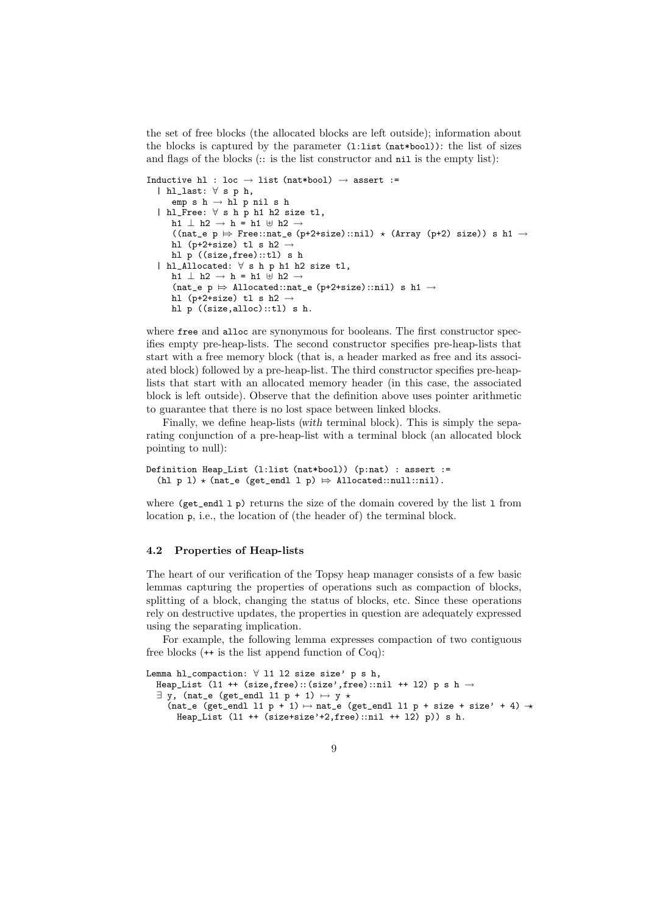the set of free blocks (the allocated blocks are left outside); information about the blocks is captured by the parameter  $(1:list (nat*bool))$ : the list of sizes and flags of the blocks (:: is the list constructor and nil is the empty list):

```
Inductive hl : loc \rightarrow list (nat*bool) \rightarrow assert :=
  | hl_last: ∀ s p h,
      emp s h \rightarrow h<br/>l p nil s h 
  | hl_Free: ∀ s h p h1 h2 size tl,
      h1 \perp h2 \rightarrow h = h1 \# h2 \rightarrow((nat_e p \Leftrightarrow Free::nat_e (p+2+size):init) \times (Array (p+2) size)) s h1 \rightarrowhl (p+2+size) tl s h2 \rightarrowhl p ((size,free)::tl) s h
  | hl_Allocated: ∀ s h p h1 h2 size tl,
      h1 \perp h2 \rightarrow h = h1 \uplus h2 \rightarrow(nat_e p \nleftrightarrow Allocated::nat_e (p+2+size)::nil) s h1 \rightarrowhl (p+2+size) tl s h2 \rightarrowhl p ((size,alloc)::tl) s h.
```
where free and alloc are synonymous for booleans. The first constructor specifies empty pre-heap-lists. The second constructor specifies pre-heap-lists that start with a free memory block (that is, a header marked as free and its associated block) followed by a pre-heap-list. The third constructor specifies pre-heaplists that start with an allocated memory header (in this case, the associated block is left outside). Observe that the definition above uses pointer arithmetic to guarantee that there is no lost space between linked blocks.

Finally, we define heap-lists (with terminal block). This is simply the separating conjunction of a pre-heap-list with a terminal block (an allocated block pointing to null):

```
Definition Heap_List (l:list (nat*bool)) (p:nat) : assert :=
  (hl p l) \star (nat_e (get_endl l p) \Rightarrow Allocated::null::nil).
```
where (get\_endl 1 p) returns the size of the domain covered by the list 1 from location p, i.e., the location of (the header of) the terminal block.

#### 4.2 Properties of Heap-lists

The heart of our verification of the Topsy heap manager consists of a few basic lemmas capturing the properties of operations such as compaction of blocks, splitting of a block, changing the status of blocks, etc. Since these operations rely on destructive updates, the properties in question are adequately expressed using the separating implication.

For example, the following lemma expresses compaction of two contiguous free blocks (++ is the list append function of Coq):

```
Lemma hl_compaction: ∀ l1 l2 size size' p s h,
  Heap_List (11 ++ (size, free)::(size', free)::nil ++ 12) p s h \rightarrow\exists y, (nat_e (get_endl 11 p + 1) \mapsto y \star(nat_e (get_endl l1 p + 1) \mapsto nat_e (get_endl l1 p + size + size' + 4) \rightarrowHeap_List (l1 ++ (size+size'+2,free)::nil ++ l2) p)) s h.
```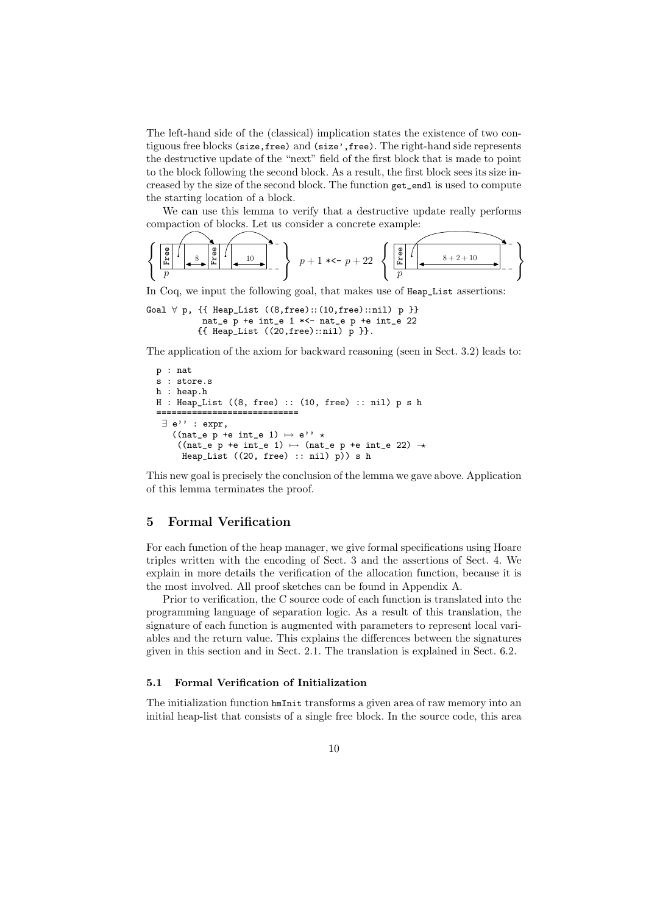The left-hand side of the (classical) implication states the existence of two contiguous free blocks (size,free) and (size',free). The right-hand side represents the destructive update of the "next" field of the first block that is made to point to the block following the second block. As a result, the first block sees its size increased by the size of the second block. The function get\_endl is used to compute the starting location of a block.

We can use this lemma to verify that a destructive update really performs compaction of blocks. Let us consider a concrete example:



In Coq, we input the following goal, that makes use of Heap\_List assertions:

```
Goal \forall p, {{ Heap_List ((8,free)::(10,free)::nil) p }}
           nat_e p +e int_e 1 *<- nat_e p +e int_e 22
          {{ Heap_List ((20,free)::nil) p }}.
```
The application of the axiom for backward reasoning (seen in Sect. 3.2) leads to:

```
p : nat
s : store.s
h : heap.h
H : Heap_List ((8, free) :: (10, free) :: nil) p s h
============================
 ∃ e'' : expr,
   ((nat_e p +e int_e 1) \mapsto e'' \star((nat_e p +e int_e 1) \mapsto (nat_e p +e int_e 22) \rightarrowHeap_List ((20, free) :: nil) p)) s h
```
This new goal is precisely the conclusion of the lemma we gave above. Application of this lemma terminates the proof.

# 5 Formal Verification

For each function of the heap manager, we give formal specifications using Hoare triples written with the encoding of Sect. 3 and the assertions of Sect. 4. We explain in more details the verification of the allocation function, because it is the most involved. All proof sketches can be found in Appendix A.

Prior to verification, the C source code of each function is translated into the programming language of separation logic. As a result of this translation, the signature of each function is augmented with parameters to represent local variables and the return value. This explains the differences between the signatures given in this section and in Sect. 2.1. The translation is explained in Sect. 6.2.

## 5.1 Formal Verification of Initialization

The initialization function hmInit transforms a given area of raw memory into an initial heap-list that consists of a single free block. In the source code, this area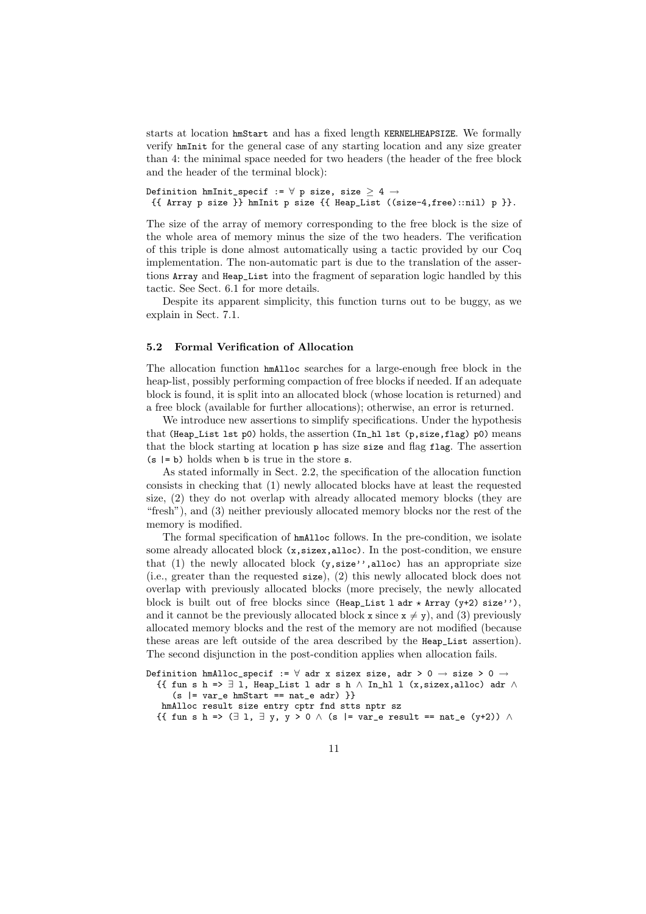starts at location hmStart and has a fixed length KERNELHEAPSIZE. We formally verify hmInit for the general case of any starting location and any size greater than 4: the minimal space needed for two headers (the header of the free block and the header of the terminal block):

```
Definition hmInit_specif := \forall p size, size \geq 4 \rightarrow{ {\{ \text{Array } p \text{ size } \}} hmInit p size { {\{ \text{Heap\_List } ((size-4,free)::ni1) p \}} }.
```
The size of the array of memory corresponding to the free block is the size of the whole area of memory minus the size of the two headers. The verification of this triple is done almost automatically using a tactic provided by our Coq implementation. The non-automatic part is due to the translation of the assertions Array and Heap\_List into the fragment of separation logic handled by this tactic. See Sect. 6.1 for more details.

Despite its apparent simplicity, this function turns out to be buggy, as we explain in Sect. 7.1.

#### 5.2 Formal Verification of Allocation

The allocation function hmAlloc searches for a large-enough free block in the heap-list, possibly performing compaction of free blocks if needed. If an adequate block is found, it is split into an allocated block (whose location is returned) and a free block (available for further allocations); otherwise, an error is returned.

We introduce new assertions to simplify specifications. Under the hypothesis that (Heap\_List 1st p0) holds, the assertion  $(In_h111st (p,size,flag)$  p0) means that the block starting at location p has size size and flag flag. The assertion  $(s \mid b)$  holds when b is true in the store s.

As stated informally in Sect. 2.2, the specification of the allocation function consists in checking that (1) newly allocated blocks have at least the requested size, (2) they do not overlap with already allocated memory blocks (they are "fresh"), and (3) neither previously allocated memory blocks nor the rest of the memory is modified.

The formal specification of hmAlloc follows. In the pre-condition, we isolate some already allocated block  $(x,size,alloc)$ . In the post-condition, we ensure that (1) the newly allocated block  $(y, size'')$ , alloc) has an appropriate size (i.e., greater than the requested size), (2) this newly allocated block does not overlap with previously allocated blocks (more precisely, the newly allocated block is built out of free blocks since (Heap\_List 1 adr  $\star$  Array (y+2) size''), and it cannot be the previously allocated block x since  $x \neq y$ , and (3) previously allocated memory blocks and the rest of the memory are not modified (because these areas are left outside of the area described by the Heap\_List assertion). The second disjunction in the post-condition applies when allocation fails.

```
Definition hmAlloc_specif := \forall adr x sizex size, adr > 0 \rightarrow size > 0 \rightarrow{{ fun s h => \exists 1, Heap_List 1 adr s h \land In_hl 1 (x, sizex, alloc) adr \land(s |= var_e hmStart == nat_e adr) }}
   hmAlloc result size entry cptr fnd stts nptr sz
  {{ fun s h => (\exists 1, \exists y, y > 0 \land (s |= var_e result == nat_e (y+2)) \land
```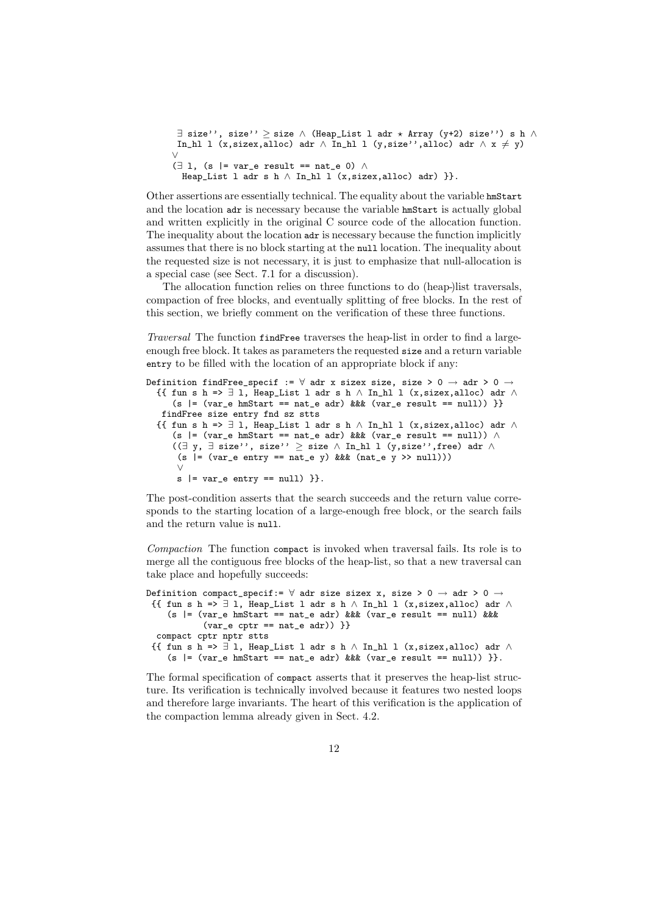```
\exists size'', size'' \geq size \wedge (Heap_List 1 adr \star Array (y+2) size'') s h \wedgeIn_hl l (x, sizex,alloc) adr \land In_hl l (y, size'',alloc) adr \land x \neq y)
∨
(\exists 1, (s |= var_e result == nat_e 0) \wedgeHeap_List 1 adr s h \land In_hl 1 (x, sizex, alloc) adr) } }.
```
Other assertions are essentially technical. The equality about the variable hmStart and the location adr is necessary because the variable hmStart is actually global and written explicitly in the original C source code of the allocation function. The inequality about the location  $\frac{d}{dx}$  is necessary because the function implicitly assumes that there is no block starting at the null location. The inequality about the requested size is not necessary, it is just to emphasize that null-allocation is a special case (see Sect. 7.1 for a discussion).

The allocation function relies on three functions to do (heap-)list traversals, compaction of free blocks, and eventually splitting of free blocks. In the rest of this section, we briefly comment on the verification of these three functions.

Traversal The function findFree traverses the heap-list in order to find a largeenough free block. It takes as parameters the requested size and a return variable entry to be filled with the location of an appropriate block if any:

```
Definition findFree_specif := \forall adr x sizex size, size > 0 \rightarrow adr > 0 \rightarrow{{ fun s h => \exists l, Heap_List l adr s h \land In_hl l (x, sizex, alloc) adr \land(s = (var_e hmsstart == nat_e adr) &&& (var_e result == null)) }}
   findFree size entry fnd sz stts
  {f f fun s h => \exists l, Heap_List l adr s h \land In_hl l (x, sizex, alloc) adr \land(s |= (var_e hmStart == nat_e adr) &&& (var_e result == null)) \wedge((∃ y, ∃ size'', size'' ≥ size ∧ In_hl l (y,size'',free) adr ∧
      (s = (var_e entry == nat_e y) &&& (nat_e y >> null)))
      ∨
      s |= var_e entry == null) }}.
```
The post-condition asserts that the search succeeds and the return value corresponds to the starting location of a large-enough free block, or the search fails and the return value is null.

Compaction The function compact is invoked when traversal fails. Its role is to merge all the contiguous free blocks of the heap-list, so that a new traversal can take place and hopefully succeeds:

```
Definition compact_specif:= \forall adr size sizex x, size > 0 \rightarrow adr > 0 \rightarrow{f fun s h => \exists l, Heap_List l adr s h \wedge In_hl l (x, sizex, alloc) adr \wedge(s | = (var_e hmStart == nat_e adr) &&& (var_e result == null) &&&
             \{\text{var}_e \text{ cptr} == \text{nat}_e \text{ adr})\}compact cptr nptr stts
{f{ fun s h => \exists l, Heap_List l adr s h \land In_hl l (x, sizex, alloc) adr \land(s = (var_e e hmstart == nat_e adr) &&& (var_e result == null)) }}.
```
The formal specification of compact asserts that it preserves the heap-list structure. Its verification is technically involved because it features two nested loops and therefore large invariants. The heart of this verification is the application of the compaction lemma already given in Sect. 4.2.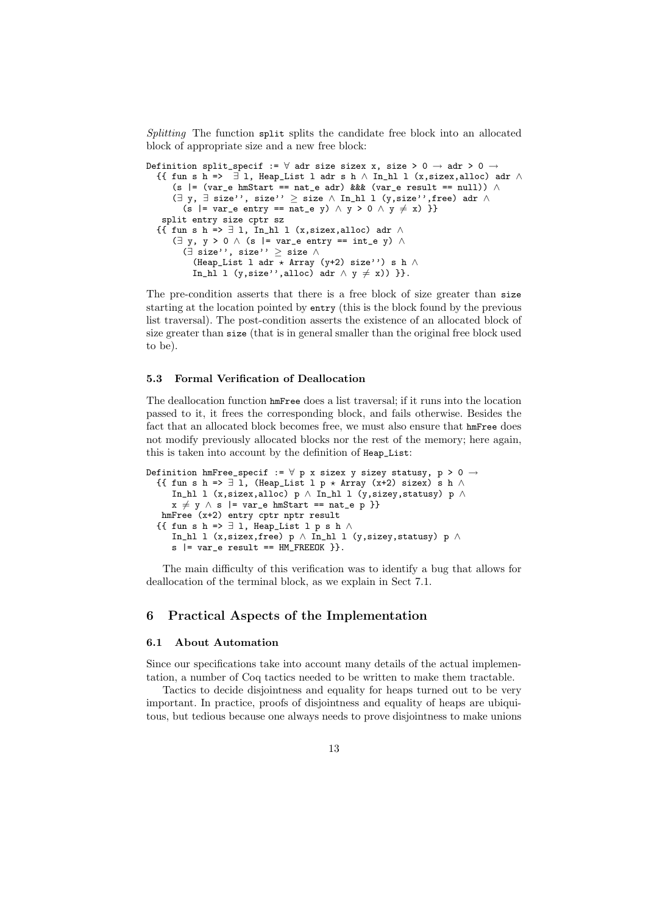Splitting The function split splits the candidate free block into an allocated block of appropriate size and a new free block:

```
Definition split_specif := \forall adr size sizex x, size > 0 \rightarrow adr > 0 \rightarrow\{ \text{f fun s } h \Rightarrow \exists l, \text{Heap\_List } l \text{ adr s } h \wedge \text{In } hl \text{ } l \text{ (x,size,alloc) } \text{ adr } \wedge(s |= (var_e hmStart == nat_e adr) &&& (var_e result == null)) \wedge(∃ y, ∃ size'', size'' ≥ size ∧ In_hl l (y,size'',free) adr ∧
        (s |= var_e entry == nat_e y) \land y > 0 \land y \neq x) }}
   split entry size cptr sz
  {ffun s h => \exists 1, In_hl 1 (x, sizex, alloc) adr \wedge(∃ y, y > 0 ∧ (s |= var_e entry == int_e y) ∧
         (∃ size'', size'' ≥ size ∧
           (Heap_List l adr \star Array (y+2) size'') s h \wedgeIn_hl 1 (y, size'', alloc) adr \land y \neq x)) }}.
```
The pre-condition asserts that there is a free block of size greater than size starting at the location pointed by entry (this is the block found by the previous list traversal). The post-condition asserts the existence of an allocated block of size greater than size (that is in general smaller than the original free block used to be).

#### 5.3 Formal Verification of Deallocation

The deallocation function hmFree does a list traversal; if it runs into the location passed to it, it frees the corresponding block, and fails otherwise. Besides the fact that an allocated block becomes free, we must also ensure that hmFree does not modify previously allocated blocks nor the rest of the memory; here again, this is taken into account by the definition of Heap\_List:

```
Definition hmFree_specif := \forall p x sizex y sizey statusy, p > 0 \rightarrow{f fun s h => \exists l, (Heap_List l p * Array (x+2) sizex) s h \wedgeIn_hl l (x,sizex,alloc) p \land In_hl l (y,sizey,statusy) p \landx \neq y \land s |= var_e hmStart == nat_e p }}
   hmFree (x+2) entry cptr nptr result
  {f f un s h \Rightarrow \exists 1, Heap\_List 1 p s h \wedgeIn_hl l (x,sizex,free) p \land In_hl l (y,sizey,statusy) p \lands |= var_e result == HM_FREEOK}}.
```
The main difficulty of this verification was to identify a bug that allows for deallocation of the terminal block, as we explain in Sect 7.1.

## 6 Practical Aspects of the Implementation

#### 6.1 About Automation

Since our specifications take into account many details of the actual implementation, a number of Coq tactics needed to be written to make them tractable.

Tactics to decide disjointness and equality for heaps turned out to be very important. In practice, proofs of disjointness and equality of heaps are ubiquitous, but tedious because one always needs to prove disjointness to make unions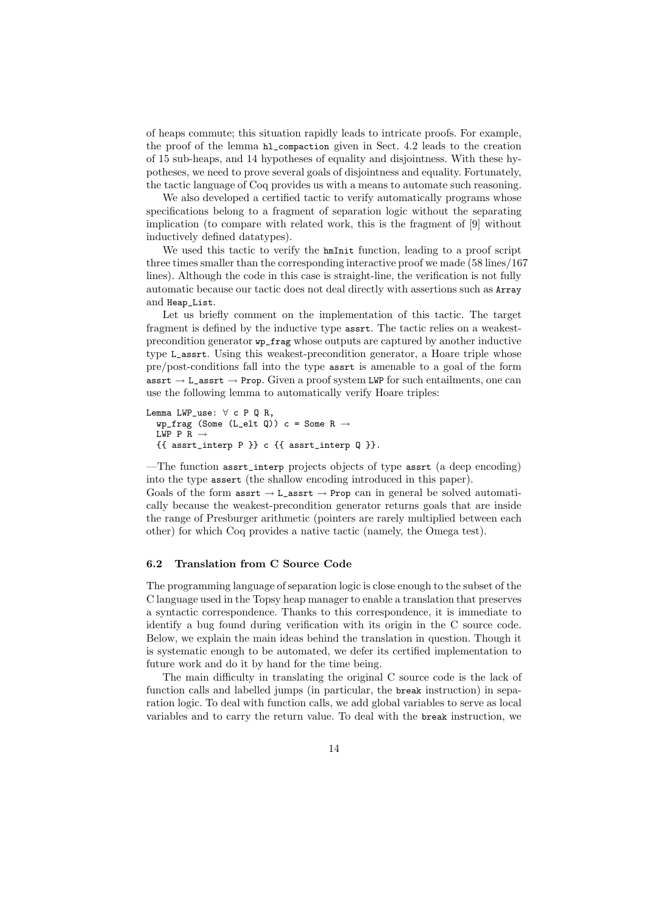of heaps commute; this situation rapidly leads to intricate proofs. For example, the proof of the lemma hl\_compaction given in Sect. 4.2 leads to the creation of 15 sub-heaps, and 14 hypotheses of equality and disjointness. With these hypotheses, we need to prove several goals of disjointness and equality. Fortunately, the tactic language of Coq provides us with a means to automate such reasoning.

We also developed a certified tactic to verify automatically programs whose specifications belong to a fragment of separation logic without the separating implication (to compare with related work, this is the fragment of [9] without inductively defined datatypes).

We used this tactic to verify the hmInit function, leading to a proof script three times smaller than the corresponding interactive proof we made (58 lines/167 lines). Although the code in this case is straight-line, the verification is not fully automatic because our tactic does not deal directly with assertions such as Array and Heap\_List.

Let us briefly comment on the implementation of this tactic. The target fragment is defined by the inductive type assrt. The tactic relies on a weakestprecondition generator wp\_frag whose outputs are captured by another inductive type L\_assrt. Using this weakest-precondition generator, a Hoare triple whose pre/post-conditions fall into the type assrt is amenable to a goal of the form assrt  $\rightarrow$  L\_assrt  $\rightarrow$  Prop. Given a proof system LWP for such entailments, one can use the following lemma to automatically verify Hoare triples:

```
Lemma LWP_use: \forall c P Q R,
  wp_frag (Some (L_elt Q)) c = Some R \rightarrowLWP P R \rightarrow{{ assrt_interp P }} c {{ assrt_interp Q }}.
```
—The function assrt\_interp projects objects of type assrt (a deep encoding) into the type assert (the shallow encoding introduced in this paper).

Goals of the form assrt  $\rightarrow$  L\_assrt  $\rightarrow$  Prop can in general be solved automatically because the weakest-precondition generator returns goals that are inside the range of Presburger arithmetic (pointers are rarely multiplied between each other) for which Coq provides a native tactic (namely, the Omega test).

#### 6.2 Translation from C Source Code

The programming language of separation logic is close enough to the subset of the C language used in the Topsy heap manager to enable a translation that preserves a syntactic correspondence. Thanks to this correspondence, it is immediate to identify a bug found during verification with its origin in the C source code. Below, we explain the main ideas behind the translation in question. Though it is systematic enough to be automated, we defer its certified implementation to future work and do it by hand for the time being.

The main difficulty in translating the original C source code is the lack of function calls and labelled jumps (in particular, the break instruction) in separation logic. To deal with function calls, we add global variables to serve as local variables and to carry the return value. To deal with the break instruction, we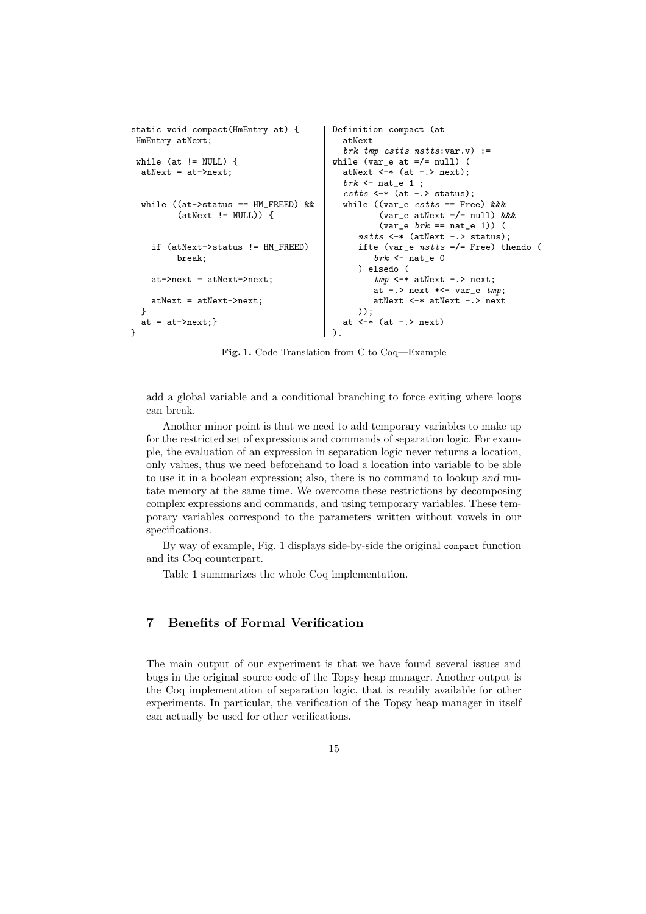```
static void compact(HmEntry at) {
 HmEntry atNext;
 while (at != NULL) {
  atNext = at->next;
  while ((at->status == HM_FREED) &&
          (atNext != NULL)) {
    if (atNext->status != HM_FREED)
          break;
    at->next = atNext->next;
    atNext = atNext->next;
  }
  at = at->next;}
                                             Definition compact (at
                                               atNext
                                               brk tmp cstts nstts:var.v :=
                                             while var_e at =/= null) (
                                               atNext <-* (at -.> next);
                                               brk \leftarrow \mathtt{nat\_e} 1 ;
                                               cstts <-* (at -.> status);
                                               while ((var_e cstts == Free) &&&
                                                        \text{var}_e atNext =/= null) &&&
                                                        (var e brk == nat e 1)) (
                                                   nstts \leftarrow* (atNext \leftarrow\cdot status);
                                                   ifte (var_e nstts =/= Free) thendo (
                                                      brk < - nat_e 0
                                                   ) elsedo (
                                                       tmp \leftarrow* atNext \leftarrow> next;
                                                      at -.> next *<- var_e tmp;atNext <-* atNext -.> next
                                                   ));
                                               at \leftarrow* (at \leftarrow\cdot next)
                                             ).
```
Fig. 1. Code Translation from C to Coq—Example

add a global variable and a conditional branching to force exiting where loops can break.

Another minor point is that we need to add temporary variables to make up for the restricted set of expressions and commands of separation logic. For example, the evaluation of an expression in separation logic never returns a location, only values, thus we need beforehand to load a location into variable to be able to use it in a boolean expression; also, there is no command to lookup and mutate memory at the same time. We overcome these restrictions by decomposing complex expressions and commands, and using temporary variables. These temporary variables correspond to the parameters written without vowels in our specifications.

By way of example, Fig. 1 displays side-by-side the original compact function and its Coq counterpart.

Table 1 summarizes the whole Coq implementation.

# 7 Benefits of Formal Verification

The main output of our experiment is that we have found several issues and bugs in the original source code of the Topsy heap manager. Another output is the Coq implementation of separation logic, that is readily available for other experiments. In particular, the verification of the Topsy heap manager in itself can actually be used for other verifications.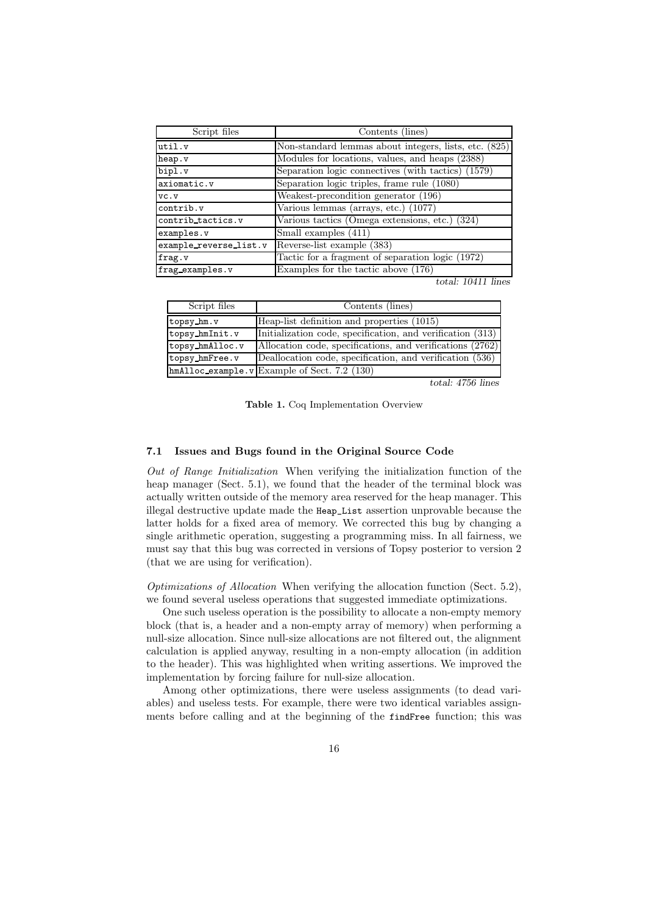| Script files           | Contents (lines)                                      |
|------------------------|-------------------------------------------------------|
| util.v                 | Non-standard lemmas about integers, lists, etc. (825) |
| heap.v                 | Modules for locations, values, and heaps (2388)       |
| bipl.v                 | Separation logic connectives (with tactics) (1579)    |
| axiomatic.v            | Separation logic triples, frame rule (1080)           |
| VC. V                  | Weakest-precondition generator (196)                  |
| contrib.v              | Various lemmas (arrays, etc.) (1077)                  |
| contrib_tactics.v      | Various tactics (Omega extensions, etc.) (324)        |
| examples.v             | Small examples (411)                                  |
| example_reverse_list.v | Reverse-list example (383)                            |
| frag.v                 | Tactic for a fragment of separation logic (1972)      |
| frag_examples.v        | Examples for the tactic above (176)                   |

total: 10411 lines

| Script files    | Contents (lines)                                           |
|-----------------|------------------------------------------------------------|
| topsy_hm.v      | Heap-list definition and properties (1015)                 |
| topsy_hmInit.v  | Initialization code, specification, and verification (313) |
| topsy_hmAlloc.v | Allocation code, specifications, and verifications (2762)  |
| topsy_hmFree.v  | Deallocation code, specification, and verification (536)   |
|                 | hmAlloc_example.v Example of Sect. 7.2 $(130)$             |

total: 4756 lines

Table 1. Coq Implementation Overview

## 7.1 Issues and Bugs found in the Original Source Code

Out of Range Initialization When verifying the initialization function of the heap manager (Sect. 5.1), we found that the header of the terminal block was actually written outside of the memory area reserved for the heap manager. This illegal destructive update made the Heap\_List assertion unprovable because the latter holds for a fixed area of memory. We corrected this bug by changing a single arithmetic operation, suggesting a programming miss. In all fairness, we must say that this bug was corrected in versions of Topsy posterior to version 2 (that we are using for verification).

Optimizations of Allocation When verifying the allocation function (Sect. 5.2), we found several useless operations that suggested immediate optimizations.

One such useless operation is the possibility to allocate a non-empty memory block (that is, a header and a non-empty array of memory) when performing a null-size allocation. Since null-size allocations are not filtered out, the alignment calculation is applied anyway, resulting in a non-empty allocation (in addition to the header). This was highlighted when writing assertions. We improved the implementation by forcing failure for null-size allocation.

Among other optimizations, there were useless assignments (to dead variables) and useless tests. For example, there were two identical variables assignments before calling and at the beginning of the findFree function; this was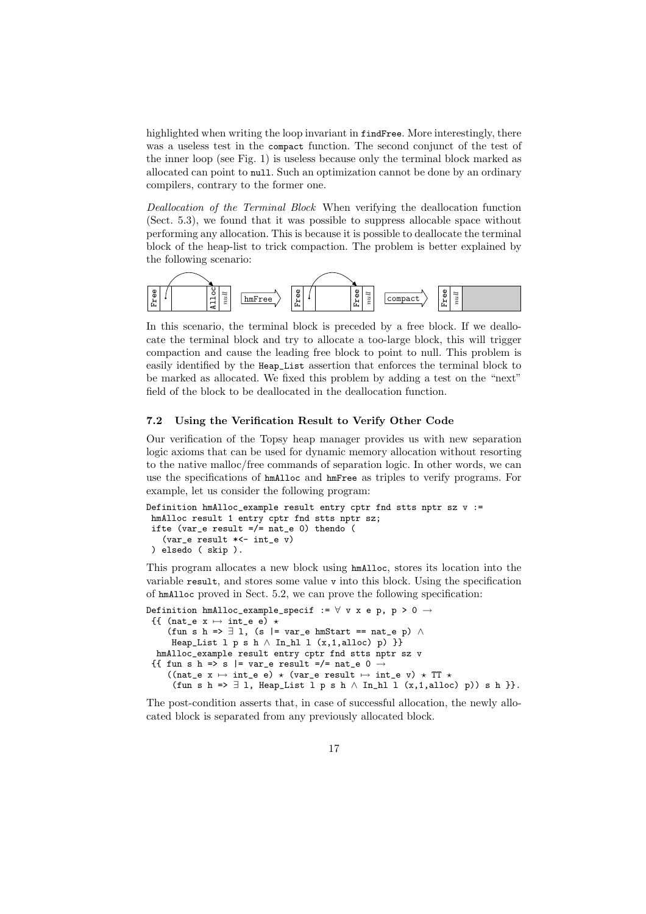highlighted when writing the loop invariant in findFree. More interestingly, there was a useless test in the compact function. The second conjunct of the test of the inner loop (see Fig. 1) is useless because only the terminal block marked as allocated can point to null. Such an optimization cannot be done by an ordinary compilers, contrary to the former one.

Deallocation of the Terminal Block When verifying the deallocation function (Sect. 5.3), we found that it was possible to suppress allocable space without performing any allocation. This is because it is possible to deallocate the terminal block of the heap-list to trick compaction. The problem is better explained by the following scenario:



In this scenario, the terminal block is preceded by a free block. If we deallocate the terminal block and try to allocate a too-large block, this will trigger compaction and cause the leading free block to point to null. This problem is easily identified by the Heap List assertion that enforces the terminal block to be marked as allocated. We fixed this problem by adding a test on the "next" field of the block to be deallocated in the deallocation function.

## 7.2 Using the Verification Result to Verify Other Code

Our verification of the Topsy heap manager provides us with new separation logic axioms that can be used for dynamic memory allocation without resorting to the native malloc/free commands of separation logic. In other words, we can use the specifications of hmAlloc and hmFree as triples to verify programs. For example, let us consider the following program:

```
Definition hmAlloc_example result entry cptr fnd stts nptr sz v :=
hmAlloc result 1 entry cptr fnd stts nptr sz;
ifte (var_e result =/= nat_e 0) thendo (
   (var_e result *<- int_e v)
) elsedo ( skip ).
```
This program allocates a new block using hmAlloc, stores its location into the variable result, and stores some value v into this block. Using the specification of hmAlloc proved in Sect. 5.2, we can prove the following specification:

```
Definition hmAlloc_example_specif := \forall v x e p, p > 0 \rightarrow{f} (nat_e x \mapsto int_e e) \star(fun s h => \exists 1, (s |= var_e hmStart == nat_e p) \wedgeHeap_List l p s h \land In_hl 1 (x, 1, alloc) p) }}
  hmAlloc_example result entry cptr fnd stts nptr sz v
 {f \{ \text{fun } s \ h \Rightarrow s \ |= \text{var}_e \ \text{result} \ = \text{end}_e \ 0 \ \cdot \text{const}}((nat_e x \mapsto int_e e) \star (var_e result \mapsto int_e v) \star TT \star(fun s h => \exists l, Heap_List l p s h \land In_hl l (x,1,alloc) p)) s h }}.
```
The post-condition asserts that, in case of successful allocation, the newly allocated block is separated from any previously allocated block.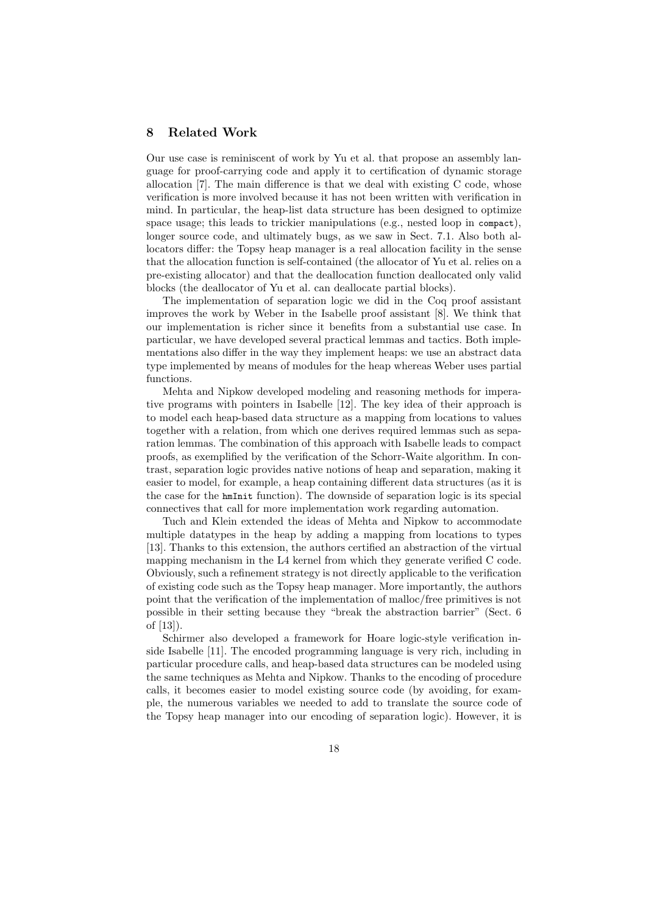# 8 Related Work

Our use case is reminiscent of work by Yu et al. that propose an assembly language for proof-carrying code and apply it to certification of dynamic storage allocation [7]. The main difference is that we deal with existing C code, whose verification is more involved because it has not been written with verification in mind. In particular, the heap-list data structure has been designed to optimize space usage; this leads to trickier manipulations (e.g., nested loop in compact), longer source code, and ultimately bugs, as we saw in Sect. 7.1. Also both allocators differ: the Topsy heap manager is a real allocation facility in the sense that the allocation function is self-contained (the allocator of Yu et al. relies on a pre-existing allocator) and that the deallocation function deallocated only valid blocks (the deallocator of Yu et al. can deallocate partial blocks).

The implementation of separation logic we did in the Coq proof assistant improves the work by Weber in the Isabelle proof assistant [8]. We think that our implementation is richer since it benefits from a substantial use case. In particular, we have developed several practical lemmas and tactics. Both implementations also differ in the way they implement heaps: we use an abstract data type implemented by means of modules for the heap whereas Weber uses partial functions.

Mehta and Nipkow developed modeling and reasoning methods for imperative programs with pointers in Isabelle [12]. The key idea of their approach is to model each heap-based data structure as a mapping from locations to values together with a relation, from which one derives required lemmas such as separation lemmas. The combination of this approach with Isabelle leads to compact proofs, as exemplified by the verification of the Schorr-Waite algorithm. In contrast, separation logic provides native notions of heap and separation, making it easier to model, for example, a heap containing different data structures (as it is the case for the hmInit function). The downside of separation logic is its special connectives that call for more implementation work regarding automation.

Tuch and Klein extended the ideas of Mehta and Nipkow to accommodate multiple datatypes in the heap by adding a mapping from locations to types [13]. Thanks to this extension, the authors certified an abstraction of the virtual mapping mechanism in the L4 kernel from which they generate verified C code. Obviously, such a refinement strategy is not directly applicable to the verification of existing code such as the Topsy heap manager. More importantly, the authors point that the verification of the implementation of malloc/free primitives is not possible in their setting because they "break the abstraction barrier" (Sect. 6 of [13]).

Schirmer also developed a framework for Hoare logic-style verification inside Isabelle [11]. The encoded programming language is very rich, including in particular procedure calls, and heap-based data structures can be modeled using the same techniques as Mehta and Nipkow. Thanks to the encoding of procedure calls, it becomes easier to model existing source code (by avoiding, for example, the numerous variables we needed to add to translate the source code of the Topsy heap manager into our encoding of separation logic). However, it is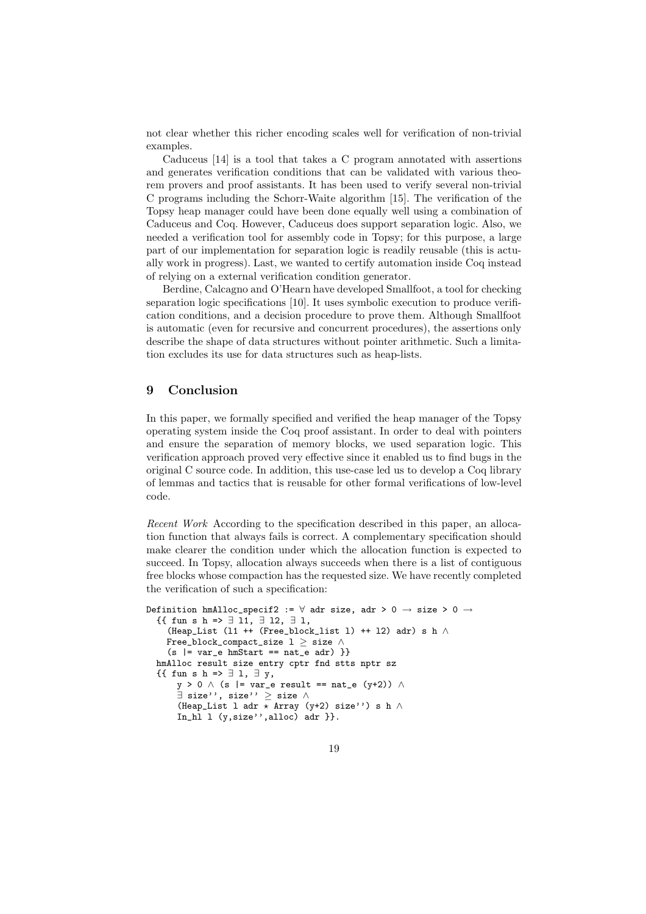not clear whether this richer encoding scales well for verification of non-trivial examples.

Caduceus [14] is a tool that takes a C program annotated with assertions and generates verification conditions that can be validated with various theorem provers and proof assistants. It has been used to verify several non-trivial C programs including the Schorr-Waite algorithm [15]. The verification of the Topsy heap manager could have been done equally well using a combination of Caduceus and Coq. However, Caduceus does support separation logic. Also, we needed a verification tool for assembly code in Topsy; for this purpose, a large part of our implementation for separation logic is readily reusable (this is actually work in progress). Last, we wanted to certify automation inside Coq instead of relying on a external verification condition generator.

Berdine, Calcagno and O'Hearn have developed Smallfoot, a tool for checking separation logic specifications [10]. It uses symbolic execution to produce verification conditions, and a decision procedure to prove them. Although Smallfoot is automatic (even for recursive and concurrent procedures), the assertions only describe the shape of data structures without pointer arithmetic. Such a limitation excludes its use for data structures such as heap-lists.

## 9 Conclusion

In this paper, we formally specified and verified the heap manager of the Topsy operating system inside the Coq proof assistant. In order to deal with pointers and ensure the separation of memory blocks, we used separation logic. This verification approach proved very effective since it enabled us to find bugs in the original C source code. In addition, this use-case led us to develop a Coq library of lemmas and tactics that is reusable for other formal verifications of low-level code.

Recent Work According to the specification described in this paper, an allocation function that always fails is correct. A complementary specification should make clearer the condition under which the allocation function is expected to succeed. In Topsy, allocation always succeeds when there is a list of contiguous free blocks whose compaction has the requested size. We have recently completed the verification of such a specification:

```
Definition hmAlloc_specif2 := \forall adr size, adr > 0 \rightarrow size > 0 \rightarrow{{ fun s h => ∃ l1, ∃ l2, ∃ l,
    (Heap_List (l1 ++ (Free_block_list 1) ++ 12) adr) s h \wedgeFree_block_compact_size l \geq size \wedge(s |= var e hmStart == nat e adr) }}
 hmAlloc result size entry cptr fnd stts nptr sz
 {{ fun s h => ∃ l, ∃ y,
      y > 0 ∧ (s |= var_e result == nat_e (y+2)) ∧
      ∃ size'', size'' ≥ size ∧
      (Heap_List l adr \star Array (y+2) size'') s h \wedgeIn_hl l (y,size'',alloc) adr }}.
```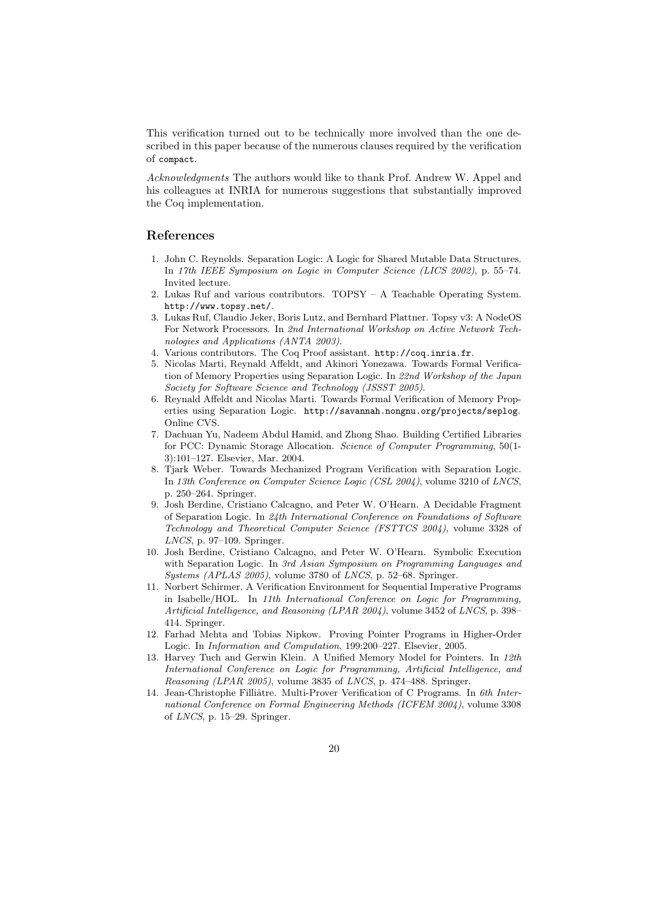This verification turned out to be technically more involved than the one described in this paper because of the numerous clauses required by the verification of compact.

Acknowledgments The authors would like to thank Prof. Andrew W. Appel and his colleagues at INRIA for numerous suggestions that substantially improved the Coq implementation.

#### References

- 1. John C. Reynolds. Separation Logic: A Logic for Shared Mutable Data Structures. In 17th IEEE Symposium on Logic in Computer Science (LICS 2002), p. 55–74. Invited lecture.
- 2. Lukas Ruf and various contributors. TOPSY A Teachable Operating System. http://www.topsy.net/.
- 3. Lukas Ruf, Claudio Jeker, Boris Lutz, and Bernhard Plattner. Topsy v3: A NodeOS For Network Processors. In 2nd International Workshop on Active Network Technologies and Applications (ANTA 2003).
- 4. Various contributors. The Coq Proof assistant. http://coq.inria.fr.
- 5. Nicolas Marti, Reynald Affeldt, and Akinori Yonezawa. Towards Formal Verification of Memory Properties using Separation Logic. In 22nd Workshop of the Japan Society for Software Science and Technology (JSSST 2005).
- 6. Reynald Affeldt and Nicolas Marti. Towards Formal Verification of Memory Properties using Separation Logic. http://savannah.nongnu.org/projects/seplog. Online CVS.
- 7. Dachuan Yu, Nadeem Abdul Hamid, and Zhong Shao. Building Certified Libraries for PCC: Dynamic Storage Allocation. Science of Computer Programming, 50(1- 3):101–127. Elsevier, Mar. 2004.
- 8. Tjark Weber. Towards Mechanized Program Verification with Separation Logic. In 13th Conference on Computer Science Logic (CSL 2004), volume 3210 of LNCS, p. 250–264. Springer.
- 9. Josh Berdine, Cristiano Calcagno, and Peter W. O'Hearn. A Decidable Fragment of Separation Logic. In 24th International Conference on Foundations of Software Technology and Theoretical Computer Science (FSTTCS 2004), volume 3328 of LNCS, p. 97–109. Springer.
- 10. Josh Berdine, Cristiano Calcagno, and Peter W. O'Hearn. Symbolic Execution with Separation Logic. In 3rd Asian Symposium on Programming Languages and Systems (APLAS 2005), volume 3780 of LNCS, p. 52–68. Springer.
- 11. Norbert Schirmer. A Verification Environment for Sequential Imperative Programs in Isabelle/HOL. In 11th International Conference on Logic for Programming, Artificial Intelligence, and Reasoning (LPAR 2004), volume 3452 of LNCS, p. 398– 414. Springer.
- 12. Farhad Mehta and Tobias Nipkow. Proving Pointer Programs in Higher-Order Logic. In Information and Computation, 199:200–227. Elsevier, 2005.
- 13. Harvey Tuch and Gerwin Klein. A Unified Memory Model for Pointers. In 12th International Conference on Logic for Programming, Artificial Intelligence, and Reasoning (LPAR 2005), volume 3835 of LNCS, p. 474–488. Springer.
- 14. Jean-Christophe Filliâtre. Multi-Prover Verification of C Programs. In 6th International Conference on Formal Engineering Methods (ICFEM 2004), volume 3308 of LNCS, p. 15–29. Springer.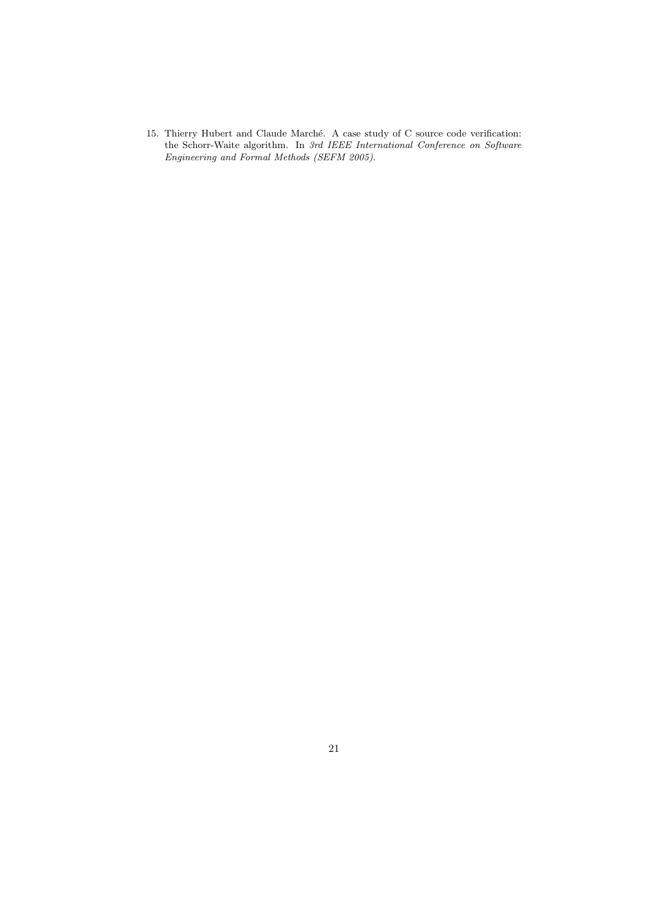15. Thierry Hubert and Claude Marché. A case study of C source code verification: the Schorr-Waite algorithm. In 3rd IEEE International Conference on Software Engineering and Formal Methods (SEFM 2005).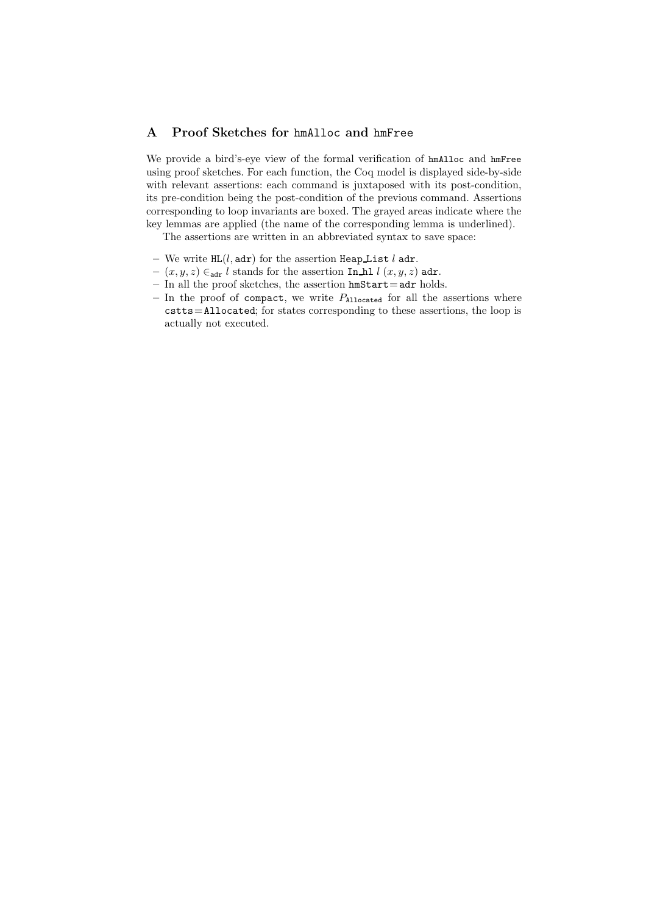# A Proof Sketches for hmAlloc and hmFree

We provide a bird's-eye view of the formal verification of hmAlloc and hmFree using proof sketches. For each function, the Coq model is displayed side-by-side with relevant assertions: each command is juxtaposed with its post-condition, its pre-condition being the post-condition of the previous command. Assertions corresponding to loop invariants are boxed. The grayed areas indicate where the key lemmas are applied (the name of the corresponding lemma is underlined).

The assertions are written in an abbreviated syntax to save space:

- We write  $HL(l, adr)$  for the assertion Heap List l adr.
- $(x, y, z) \in$ <sub>adr</sub> l stands for the assertion In hl l  $(x, y, z)$  adr.
- In all the proof sketches, the assertion  $hmsstart=adr$  holds.
- In the proof of compact, we write  $P_{\text{Allocated}}$  for all the assertions where cstts=Allocated; for states corresponding to these assertions, the loop is actually not executed.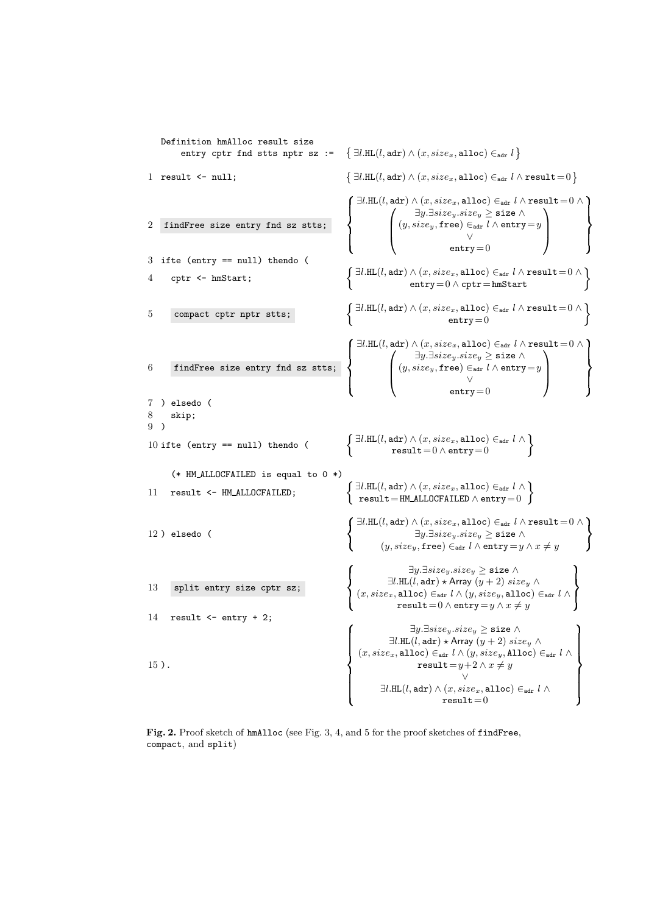```
Definition hmAlloc result size
                  entry cptr fnd stts nptr sz := 
                                                                                                          \{ \exists l.HL(l, \texttt{adr}) \land (x, size_x, \texttt{alloc}) \in_{\texttt{adr}} l \}1 result <- null; 
                                                                                                             {\exists l.HL(l, adr) ∧ (x, size<sub>x</sub>, alloc) ∈<sub>adr</sub> l \wedge result = 0 }
2 findFree size entry fnd sz stts;
                                                                                                               \textsf{T} \: \exists l.HL(l, \texttt{adr}) \land (x, size_x, \texttt{alloc}) \in_{\texttt{adr}} l \land \texttt{result}=0 \land \texttt{max}the contract of the contract of the contract of the contract of the contract of the contract of the contract of
                                                                                                               the contract of the contract of the contract of
                                                                                                               the contract of the contract of the contract of
                                                                                                               and the contract of the contract of the contract of the contract of the contract of the contract of the contract of

                                                                                                                                     (y, size_y, free) \in \text{char } l \wedge entry = y∃y.\exists size_y.size_y \geq \texttt{size} \land∨
                                                                                                                                                                     entry = 0. .
                                                                                                                                                                                                                         

                                                                                                                                                                                                                                                 the contract of the contract of
                                                                                                                                                                                                                                                 and the contract of the contract of the contract of the contract of the contract of the contract of the contract of
                                                                                                                                                                                                                                                 \sim

                                                                                                                                                                                                                                                  the contract of the contract of the contract of the contract of the contract of
3 ifte (entry == null) thendo (
4 cptr <- hmStart; 
                                                                                                              \int \exists l.HL(l, adr) \wedge (x, size_x, alloc) \in adr l \wedge \mathtt{result} \!=\! 0 \wedge lentry=0 \wedge \text{cptr} = \text{hmStart}5 compact cptr nptr stts; 
                                                                                                              \int \exists l.HL(l, adr) \land (x, size_x, alloc) \in_{\mathtt{adr}} l \land \mathtt{result} = 0 \land (entry = 06 findFree size entry fnd sz stts;
                                                                                                               \textsf{T} \: \exists l.HL(l, \texttt{adr}) \land (x, size_x, \texttt{alloc}) \in_{\texttt{adr}} l \land \texttt{result}=0 \land \texttt{blue}the contract of the contract of the contract of the contract of the contract of the contract of the contract of

                                                                                                               the contract of the contract of the contract of
                                                                                                               a contracto de la contracto de la contracto de la contracto de la contracto de la contracto de la contracto de

                                                                                                                                     (y, size_y, free) \in_{adr} l \wedge entry = y∃y.∃size<sub>y</sub>.size<sub>y</sub> \geq size ∧
                                                                                                                                                                             ∨
                                                                                                                                                                     entry = 0\simand the contract of the contract of the contract of the contract of the contract of the contract of the contract of
                                                                                                                                                                                                                                                 the contract of the contract of the contract of
                                                                                                                                                                                                                                                 the contract of the contract of
                                                                                                                                                                                                                                                 and the contract of the contract of the contract of the contract of the contract of the contract of the contract of
                                                                                                                                                                                                                                                 \sim

                                                                                                                                                                                                                                                the contract of the contract of the contract of the contract of the contract of
7 ) elsedo (
8 skip;
9 )
10 ifte (entry == null) thendo ( 
                                                                                                              \int \exists l.HL(l, adr) \land (x, size_x, alloc) \in _{\mathtt{adr}} l \land \mathtt{cl}result = 0 \wedge entry = 0(* HM ALLOCFAILED is equal to 0 *)
11 result <- HM ALLOCFAILED; 
                                                                                                              \int \exists l.HL(l, \texttt{adr}) \wedge (x, size_x, \texttt{alloc}) \in_{\texttt{adr}} l \wedge\big\{ result =HM_ALLOCFAILED ∧ entry = 0 \big\}12 ) elsedo (
                                                                                                              \int \exists l.HL(l, \texttt{adr}) \wedge (x, size_x, \texttt{alloc}) \in_{\texttt{adr}} l \wedge \texttt{result}=0 \wedge
                                                                                                                                                 ∃y.∃size<sub>y</sub>.size<sub>y</sub> \geq size \land(y, size_y, \texttt{free}) \in_{\texttt{adr}} l \wedge \texttt{entry} = y \wedge x \neq y\mathcal{L} = \{1, 2, \ldots, n\}
13 split entry size cptr sz;

                                                                                                                the contract of the contract of the contract of the contract of the contract of
                                                                                                               (x, size_x, \texttt{alloc}) \in_{\texttt{adr}} l \land (y, size_y, \texttt{alloc}) \in_{\texttt{adr}} l \land∃y.∃size<sub>y</sub>.sizey ≥ size ∧
                                                                                                                                  \exists l.HL(l, \texttt{adr}) \star Array (y + 2) size_y \wedgeresult = 0 \land entry = y \land x \neq y

                                                                                                                                                                                                                                          \overline{\phantom{a}} and the contract of the contract of the contract of the contract of the contract of the contract of
14 result \leq entry + 2;
15 ).
                                                                                                               \sim \sim

                                                                                                               and the state of the state of the

                                                                                                               and the contract of the contract of the
                                                                                                                (x, size_x, \texttt{alloc}) \in_{\texttt{adr}} l \wedge (y, size_y, \texttt{Alice}) \in_{\texttt{adr}} l \wedge
                                                                                                               the contract of the contract of
                                                                                                               and the contract of the contract of the

                                                                                                               ∃l.HL(l, adr) \land (x, size_x, alloc) \in _{adv} l \land∃y.∃size<sub>y</sub>.sizey \ge size \land\exists l.HL(l, \text{adr}) \star Array (y + 2) size<sub>y</sub> \wedgeresult = y+2 \wedge x \neq y∨
                                                                                                                                                                result = 0\sim \sim
                                                                                                                                                                                                                                            the contract of the contract of

                                                                                                                                                                                                                                            and the contract of the contract of
                                                                                                                                                                                                                                            and the contract of the contract of the contract of the contract of the contract of the contract of the contract of the contract of the contract of the contract of the contract of the contract of the contract of the contra
                                                                                                                                                                                                                                            \overline{\phantom{a}}

                                                                                                                                                                                                                                            and the contract of the contract of

                                                                                                                                                                                                                                             the contract of the contract of the contract of the contract of the contract of the contract of the contract of
```
Fig. 2. Proof sketch of hmAlloc (see Fig. 3, 4, and 5 for the proof sketches of findFree, compact, and split)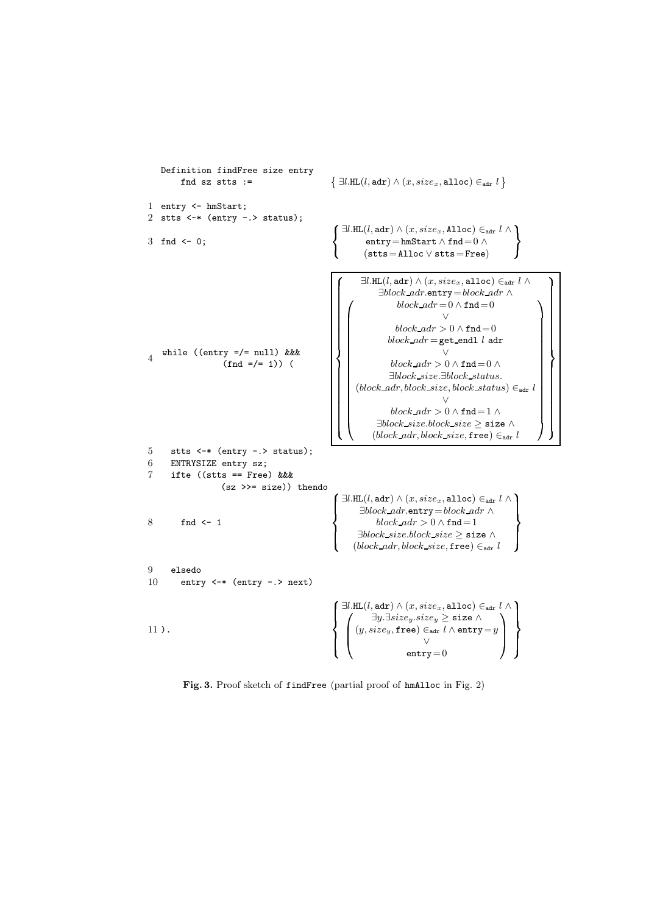

Fig. 3. Proof sketch of findFree (partial proof of hmAlloc in Fig. 2)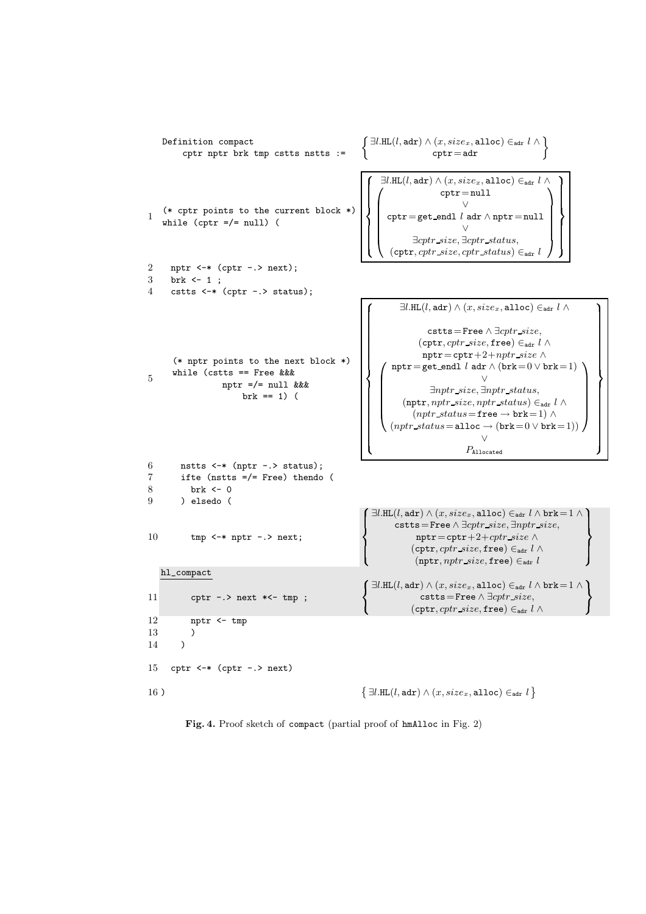

Fig. 4. Proof sketch of compact (partial proof of hmAlloc in Fig. 2)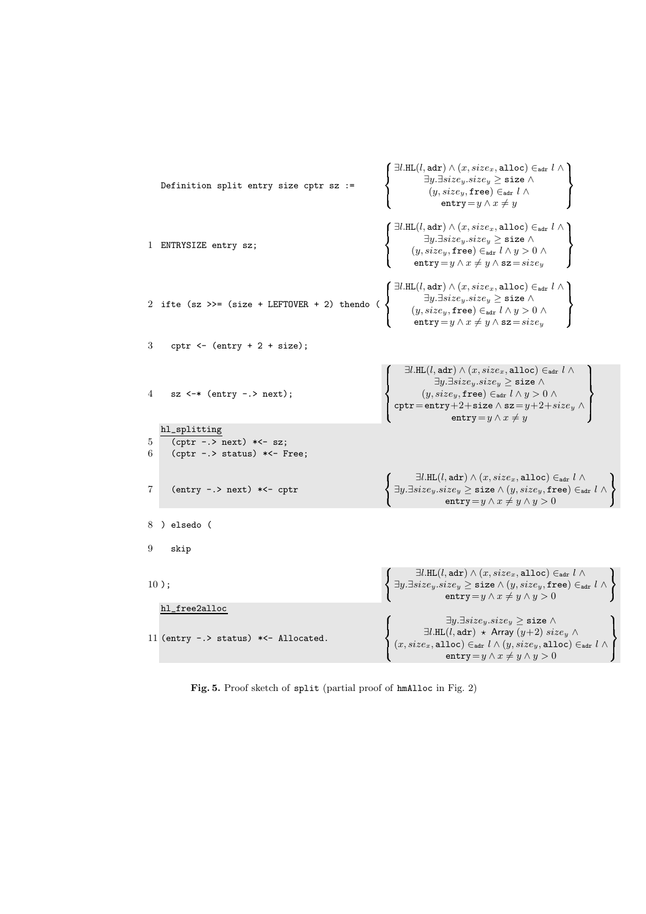```
Definition split entry size cptr sz :=
                                                                                                                                          \big(\exists l. \verb+HL+(l,adr)+\wedge(x, size_x, \verb+alloc)+\in_{\verb+adr} l\wedge\big)and the contract of the contract of the contract of the contract of the contract of the contract of

                                                                                                                                                              ∃y.∃size<sub>y</sub>.sizey ≥ size ∧
                                                                                                                                                                (y, size_y, \text{free}) \in_{\text{adr}} l \wedgeentry = y \wedge x \neq ythe contract of the contract of the contract of the contract of the contract of
                                                                                                                                                                                                                                                  \overline{\phantom{a}} the contract of the contract of the contract of the contract of the contract of
1 ENTRYSIZE entry sz;
                                                                                                                                          \bigcap ∃l.HL(l, adr) \wedge (x, size_x, alloc) \in _{\mathtt{adr}} l \wedgeand the contract of the contract of the contract of the contract of the contract of the contract of
                                                                                                                                          (y, size_y, \texttt{free}) \in_{\texttt{adr}} l \wedge y > 0 \wedge∃y.∃size<sub>y</sub>.size<sub>y</sub> \ge size ∧
                                                                                                                                                        entry = y \wedge x \neq y \wedge sz = size_y\mathbf{r}\blacksquare\overline{\phantom{a}} the contract of the contract of the contract of the contract of the contract of
2 ifte (sz \gg= (size + LEFTOVER + 2) thendo (
                                                                                                                                          \bigcap \exists l.HL(l, \texttt{adr}) \land (x, size_x, \texttt{alloc}) \in_{\texttt{adr}} l \landand the contract of the contract of the contract of the contract of the contract of
                                                                                                                                          (y, size_y, \texttt{free}) \in_{\texttt{adr}} l \wedge y > 0 \wedge∃y.∃size<sub>y</sub>.sizey ≥ size ∧
                                                                                                                                                        entry = y \wedge x \neq y \wedge sz = size_y

                                                                                                                                                                                                                                                  \blacksquare . The contract of the contract of the contract of the contract of the contract of the contract of the contract of the contract of the contract of the contract of the contract of the contract of the contract of the 
                                                                                                                                                                                                                                                  \overline{\phantom{a}} the contract of the contract of the contract of the contract of the contract of
3 cptr \leftarrow (entry + 2 + size);
4 sz \leftarrow\ast (entry \leftarrow\ast next);
                                                                                                                                          \sim \sim

                                                                                                                                           and the contract of the contract of the contract of the contract of the contract of the contract of the contract of

                                                                                                                                          cptr=entry+2+size \wedge sz=y+2+size<sub>y</sub> \wedge\exists l.HL(l, \texttt{adr}) \wedge (x, size_x, \texttt{alloc}) \in_{\texttt{adr}} l \wedge∃y.∃sizey.sizey ≥ size ∧
                                                                                                                                                            (y, size_y, \mathtt{free}) \in_{\mathtt{adr}} l \wedge y > 0 \wedgeentry = y \wedge x \neq y

                                                                                                                                                                                                                                                              . .

                                                                                                                                                                                                                                                               the contract of the contract of the contract of the contract of the contract of
       hl_splitting
5 (cptr -.> next) *<- sz;
6 (cptr -.> status) *<- Free;
7 (entry -.> next) *<- cptr
                                                                                                                                         \bigcap \exists l. \texttt{HL}(l, \texttt{adr}) \land (x, size_x, \texttt{alloc}) \in_{\texttt{adr}} l \land\{ \exists y . \exists size_y.size_y \geq \texttt{size} \land (y, size_y, \texttt{free}) \in_{\texttt{adr}} l \land \emptysetentry = y \wedge x \neq y \wedge y > 0

                                                                                                                                                                                                                                                                         and the contract of the contract of the contract of the contract of the contract of the contract of the contract of
8 ) elsedo (
9 skip
10 );
                                                                                                                                         \bigcap \exists l. \texttt{HL}(l, \texttt{adr}) \land (x, size_x, \texttt{alloc}) \in_{\texttt{adr}} l \land\set{\exists y . \exists size_y.size_y} \geq \texttt{size} \land (y, size_y, \texttt{free}) \in_{\texttt{adr}} l \land \emptysetentry =y \wedge x \neq y \wedge y > 0

                                                                                                                                                                                                                                                                         and the contract of the contract of the contract of the contract of the contract of the contract of the contract of
      hl_free2alloc
11 (entry -.> status) *<- Allocated.
                                                                                                                                          \sim \sim the contract of the contract of the contract of the contract of the contract of
                                                                                                                                          (x, size_x, \texttt{alloc}) \in_{\texttt{adr}} l \land (y, size_y, \texttt{alloc}) \in_{\texttt{adr}} l \land∃y.∃size<sub>y</sub>.size<sub>y</sub> \ge size \land\exists l.HL(l, \texttt{adr}) \times Array (y+2) size_y \wedgeentry =y \wedge x \neq y \wedge y > 0

                                                                                                                                                                                                                                                                           \mathcal{L} . The contract of the contract of the contract of the contract of the contract of the contract of the contract of the contract of the contract of the contract of the contract of the contract of the contract of th
                                                                                                                                                                                                                                                                           \overline{\phantom{a}} and the contract of the contract of the contract of the contract of the contract of
```
Fig. 5. Proof sketch of split (partial proof of hmAlloc in Fig. 2)